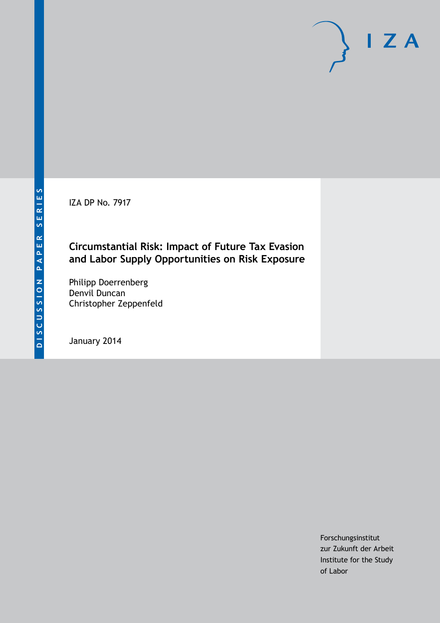IZA DP No. 7917

# **Circumstantial Risk: Impact of Future Tax Evasion and Labor Supply Opportunities on Risk Exposure**

Philipp Doerrenberg Denvil Duncan Christopher Zeppenfeld

January 2014

Forschungsinstitut zur Zukunft der Arbeit Institute for the Study of Labor

 $I Z A$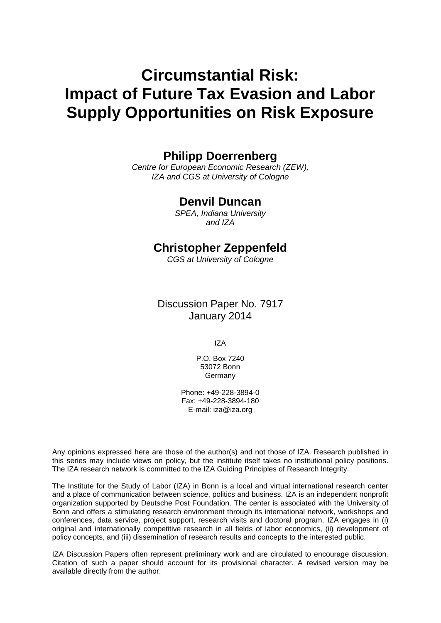# **Circumstantial Risk: Impact of Future Tax Evasion and Labor Supply Opportunities on Risk Exposure**

## **Philipp Doerrenberg**

*Centre for European Economic Research (ZEW), IZA and CGS at University of Cologne*

## **Denvil Duncan**

*SPEA, Indiana University and IZA*

## **Christopher Zeppenfeld**

*CGS at University of Cologne*

Discussion Paper No. 7917 January 2014

IZA

P.O. Box 7240 53072 Bonn Germany

Phone: +49-228-3894-0 Fax: +49-228-3894-180 E-mail: [iza@iza.org](mailto:iza@iza.org)

Any opinions expressed here are those of the author(s) and not those of IZA. Research published in this series may include views on policy, but the institute itself takes no institutional policy positions. The IZA research network is committed to the IZA Guiding Principles of Research Integrity.

The Institute for the Study of Labor (IZA) in Bonn is a local and virtual international research center and a place of communication between science, politics and business. IZA is an independent nonprofit organization supported by Deutsche Post Foundation. The center is associated with the University of Bonn and offers a stimulating research environment through its international network, workshops and conferences, data service, project support, research visits and doctoral program. IZA engages in (i) original and internationally competitive research in all fields of labor economics, (ii) development of policy concepts, and (iii) dissemination of research results and concepts to the interested public.

<span id="page-1-0"></span>IZA Discussion Papers often represent preliminary work and are circulated to encourage discussion. Citation of such a paper should account for its provisional character. A revised version may be available directly from the author.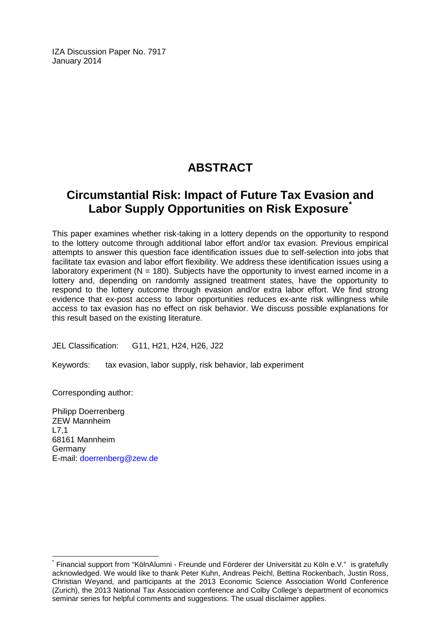IZA Discussion Paper No. 7917 January 2014

# **ABSTRACT**

# **Circumstantial Risk: Impact of Future Tax Evasion and Labor Supply Opportunities on Risk Exposure[\\*](#page-1-0)**

This paper examines whether risk-taking in a lottery depends on the opportunity to respond to the lottery outcome through additional labor effort and/or tax evasion. Previous empirical attempts to answer this question face identification issues due to self-selection into jobs that facilitate tax evasion and labor effort flexibility. We address these identification issues using a laboratory experiment ( $N = 180$ ). Subjects have the opportunity to invest earned income in a lottery and, depending on randomly assigned treatment states, have the opportunity to respond to the lottery outcome through evasion and/or extra labor effort. We find strong evidence that ex-post access to labor opportunities reduces ex-ante risk willingness while access to tax evasion has no effect on risk behavior. We discuss possible explanations for this result based on the existing literature.

JEL Classification: G11, H21, H24, H26, J22

Keywords: tax evasion, labor supply, risk behavior, lab experiment

Corresponding author:

Philipp Doerrenberg ZEW Mannheim L7,1 68161 Mannheim Germany E-mail: [doerrenberg@zew.de](mailto:doerrenberg@zew.de)

\* Financial support from "KölnAlumni - Freunde und Förderer der Universität zu Köln e.V." is gratefully acknowledged. We would like to thank Peter Kuhn, Andreas Peichl, Bettina Rockenbach, Justin Ross, Christian Weyand, and participants at the 2013 Economic Science Association World Conference (Zurich), the 2013 National Tax Association conference and Colby College's department of economics seminar series for helpful comments and suggestions. The usual disclaimer applies.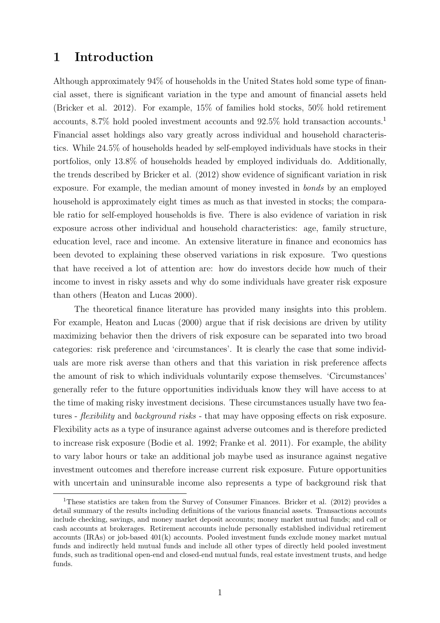# 1 Introduction

Although approximately 94% of households in the United States hold some type of financial asset, there is significant variation in the type and amount of financial assets held [\(Bricker et al. 2012\)](#page-26-0). For example, 15% of families hold stocks, 50% hold retirement accounts, 8.7% hold pooled investment accounts and 92.5% hold transaction accounts.[1](#page-3-0) Financial asset holdings also vary greatly across individual and household characteristics. While 24.5% of households headed by self-employed individuals have stocks in their portfolios, only 13.8% of households headed by employed individuals do. Additionally, the trends described by [Bricker et al. \(2012\)](#page-26-0) show evidence of significant variation in risk exposure. For example, the median amount of money invested in bonds by an employed household is approximately eight times as much as that invested in stocks; the comparable ratio for self-employed households is five. There is also evidence of variation in risk exposure across other individual and household characteristics: age, family structure, education level, race and income. An extensive literature in finance and economics has been devoted to explaining these observed variations in risk exposure. Two questions that have received a lot of attention are: how do investors decide how much of their income to invest in risky assets and why do some individuals have greater risk exposure than others [\(Heaton and Lucas 2000\)](#page-27-0).

The theoretical finance literature has provided many insights into this problem. For example, [Heaton and Lucas \(2000\)](#page-27-0) argue that if risk decisions are driven by utility maximizing behavior then the drivers of risk exposure can be separated into two broad categories: risk preference and 'circumstances'. It is clearly the case that some individuals are more risk averse than others and that this variation in risk preference affects the amount of risk to which individuals voluntarily expose themselves. 'Circumstances' generally refer to the future opportunities individuals know they will have access to at the time of making risky investment decisions. These circumstances usually have two features - *flexibility* and *background risks* - that may have opposing effects on risk exposure. Flexibility acts as a type of insurance against adverse outcomes and is therefore predicted to increase risk exposure [\(Bodie et al. 1992;](#page-26-1) [Franke et al. 2011\)](#page-27-1). For example, the ability to vary labor hours or take an additional job maybe used as insurance against negative investment outcomes and therefore increase current risk exposure. Future opportunities with uncertain and uninsurable income also represents a type of background risk that

<span id="page-3-0"></span><sup>&</sup>lt;sup>1</sup>These statistics are taken from the Survey of Consumer Finances. [Bricker et al. \(2012\)](#page-26-0) provides a detail summary of the results including definitions of the various financial assets. Transactions accounts include checking, savings, and money market deposit accounts; money market mutual funds; and call or cash accounts at brokerages. Retirement accounts include personally established individual retirement accounts (IRAs) or job-based 401(k) accounts. Pooled investment funds exclude money market mutual funds and indirectly held mutual funds and include all other types of directly held pooled investment funds, such as traditional open-end and closed-end mutual funds, real estate investment trusts, and hedge funds.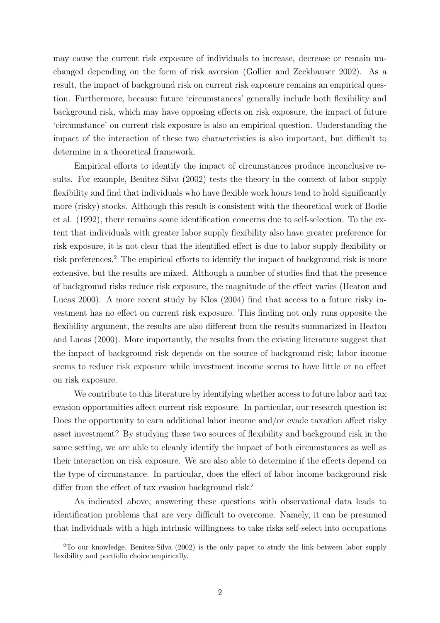may cause the current risk exposure of individuals to increase, decrease or remain unchanged depending on the form of risk aversion [\(Gollier and Zeckhauser 2002\)](#page-27-2). As a result, the impact of background risk on current risk exposure remains an empirical question. Furthermore, because future 'circumstances' generally include both flexibility and background risk, which may have opposing effects on risk exposure, the impact of future 'circumstance' on current risk exposure is also an empirical question. Understanding the impact of the interaction of these two characteristics is also important, but difficult to determine in a theoretical framework.

Empirical efforts to identify the impact of circumstances produce inconclusive results. For example, [Benitez-Silva \(2002\)](#page-25-0) tests the theory in the context of labor supply flexibility and find that individuals who have flexible work hours tend to hold significantly more (risky) stocks. Although this result is consistent with the theoretical work of [Bodie](#page-26-1) [et al. \(1992\),](#page-26-1) there remains some identification concerns due to self-selection. To the extent that individuals with greater labor supply flexibility also have greater preference for risk exposure, it is not clear that the identified effect is due to labor supply flexibility or risk preferences.[2](#page-4-0) The empirical efforts to identify the impact of background risk is more extensive, but the results are mixed. Although a number of studies find that the presence of background risks reduce risk exposure, the magnitude of the effect varies [\(Heaton and](#page-27-0) [Lucas 2000\)](#page-27-0). A more recent study by [Klos \(2004\)](#page-28-0) find that access to a future risky investment has no effect on current risk exposure. This finding not only runs opposite the flexibility argument, the results are also different from the results summarized in [Heaton](#page-27-0) [and Lucas \(2000\).](#page-27-0) More importantly, the results from the existing literature suggest that the impact of background risk depends on the source of background risk; labor income seems to reduce risk exposure while investment income seems to have little or no effect on risk exposure.

We contribute to this literature by identifying whether access to future labor and tax evasion opportunities affect current risk exposure. In particular, our research question is: Does the opportunity to earn additional labor income and/or evade taxation affect risky asset investment? By studying these two sources of flexibility and background risk in the same setting, we are able to cleanly identify the impact of both circumstances as well as their interaction on risk exposure. We are also able to determine if the effects depend on the type of circumstance. In particular, does the effect of labor income background risk differ from the effect of tax evasion background risk?

As indicated above, answering these questions with observational data leads to identification problems that are very difficult to overcome. Namely, it can be presumed that individuals with a high intrinsic willingness to take risks self-select into occupations

<span id="page-4-0"></span><sup>2</sup>To our knowledge, [Benitez-Silva \(2002\)](#page-25-0) is the only paper to study the link between labor supply flexibility and portfolio choice empirically.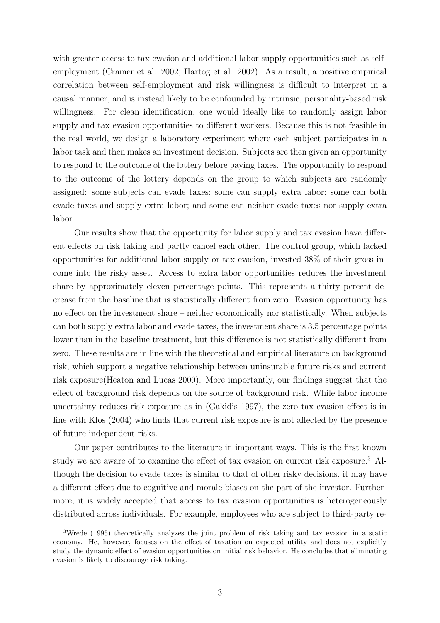with greater access to tax evasion and additional labor supply opportunities such as selfemployment [\(Cramer et al. 2002;](#page-26-2) [Hartog et al. 2002\)](#page-27-3). As a result, a positive empirical correlation between self-employment and risk willingness is difficult to interpret in a causal manner, and is instead likely to be confounded by intrinsic, personality-based risk willingness. For clean identification, one would ideally like to randomly assign labor supply and tax evasion opportunities to different workers. Because this is not feasible in the real world, we design a laboratory experiment where each subject participates in a labor task and then makes an investment decision. Subjects are then given an opportunity to respond to the outcome of the lottery before paying taxes. The opportunity to respond to the outcome of the lottery depends on the group to which subjects are randomly assigned: some subjects can evade taxes; some can supply extra labor; some can both evade taxes and supply extra labor; and some can neither evade taxes nor supply extra labor.

Our results show that the opportunity for labor supply and tax evasion have different effects on risk taking and partly cancel each other. The control group, which lacked opportunities for additional labor supply or tax evasion, invested 38% of their gross income into the risky asset. Access to extra labor opportunities reduces the investment share by approximately eleven percentage points. This represents a thirty percent decrease from the baseline that is statistically different from zero. Evasion opportunity has no effect on the investment share – neither economically nor statistically. When subjects can both supply extra labor and evade taxes, the investment share is 3.5 percentage points lower than in the baseline treatment, but this difference is not statistically different from zero. These results are in line with the theoretical and empirical literature on background risk, which support a negative relationship between uninsurable future risks and current risk exposure[\(Heaton and Lucas 2000\)](#page-27-0). More importantly, our findings suggest that the effect of background risk depends on the source of background risk. While labor income uncertainty reduces risk exposure as in [\(Gakidis 1997\)](#page-27-4), the zero tax evasion effect is in line with [Klos \(2004\)](#page-28-0) who finds that current risk exposure is not affected by the presence of future independent risks.

Our paper contributes to the literature in important ways. This is the first known study we are aware of to examine the effect of tax evasion on current risk exposure.[3](#page-5-0) Although the decision to evade taxes is similar to that of other risky decisions, it may have a different effect due to cognitive and morale biases on the part of the investor. Furthermore, it is widely accepted that access to tax evasion opportunities is heterogeneously distributed across individuals. For example, employees who are subject to third-party re-

<span id="page-5-0"></span><sup>3</sup>[Wrede \(1995\)](#page-28-1) theoretically analyzes the joint problem of risk taking and tax evasion in a static economy. He, however, focuses on the effect of taxation on expected utility and does not explicitly study the dynamic effect of evasion opportunities on initial risk behavior. He concludes that eliminating evasion is likely to discourage risk taking.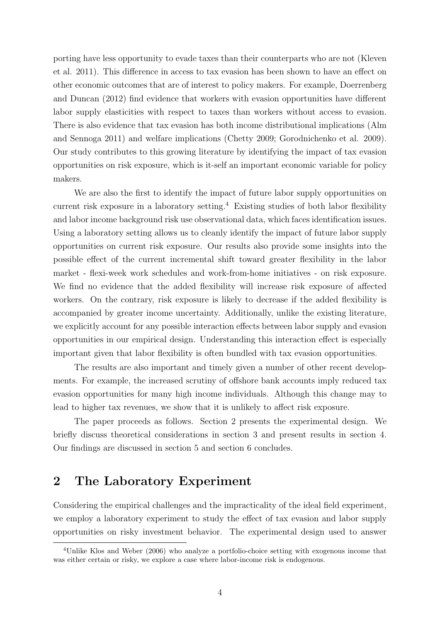porting have less opportunity to evade taxes than their counterparts who are not [\(Kleven](#page-28-2) [et al. 2011\)](#page-28-2). This difference in access to tax evasion has been shown to have an effect on other economic outcomes that are of interest to policy makers. For example, [Doerrenberg](#page-26-3) [and Duncan \(2012\)](#page-26-3) find evidence that workers with evasion opportunities have different labor supply elasticities with respect to taxes than workers without access to evasion. There is also evidence that tax evasion has both income distributional implications [\(Alm](#page-25-1) [and Sennoga 2011\)](#page-25-1) and welfare implications [\(Chetty 2009;](#page-26-4) [Gorodnichenko et al. 2009\)](#page-27-5). Our study contributes to this growing literature by identifying the impact of tax evasion opportunities on risk exposure, which is it-self an important economic variable for policy makers.

We are also the first to identify the impact of future labor supply opportunities on current risk exposure in a laboratory setting.<sup>[4](#page-6-0)</sup> Existing studies of both labor flexibility and labor income background risk use observational data, which faces identification issues. Using a laboratory setting allows us to cleanly identify the impact of future labor supply opportunities on current risk exposure. Our results also provide some insights into the possible effect of the current incremental shift toward greater flexibility in the labor market - flexi-week work schedules and work-from-home initiatives - on risk exposure. We find no evidence that the added flexibility will increase risk exposure of affected workers. On the contrary, risk exposure is likely to decrease if the added flexibility is accompanied by greater income uncertainty. Additionally, unlike the existing literature, we explicitly account for any possible interaction effects between labor supply and evasion opportunities in our empirical design. Understanding this interaction effect is especially important given that labor flexibility is often bundled with tax evasion opportunities.

The results are also important and timely given a number of other recent developments. For example, the increased scrutiny of offshore bank accounts imply reduced tax evasion opportunities for many high income individuals. Although this change may to lead to higher tax revenues, we show that it is unlikely to affect risk exposure.

The paper proceeds as follows. Section [2](#page-6-1) presents the experimental design. We briefly discuss theoretical considerations in section [3](#page-11-0) and present results in section [4.](#page-15-0) Our findings are discussed in section [5](#page-21-0) and section [6](#page-24-0) concludes.

# <span id="page-6-1"></span>2 The Laboratory Experiment

Considering the empirical challenges and the impracticality of the ideal field experiment, we employ a laboratory experiment to study the effect of tax evasion and labor supply opportunities on risky investment behavior. The experimental design used to answer

<span id="page-6-0"></span><sup>4</sup>Unlike [Klos and Weber \(2006\)](#page-28-3) who analyze a portfolio-choice setting with exogenous income that was either certain or risky, we explore a case where labor-income risk is endogenous.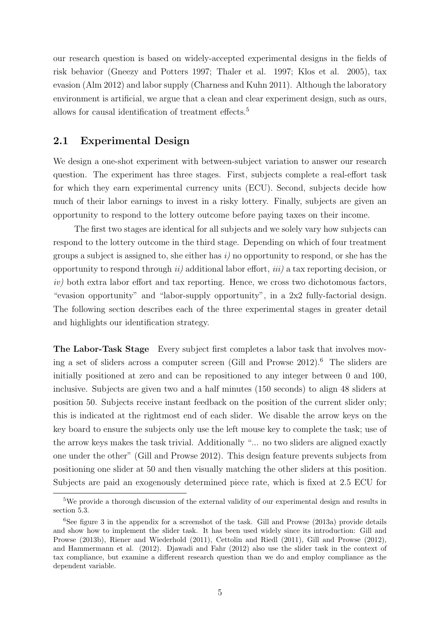our research question is based on widely-accepted experimental designs in the fields of risk behavior [\(Gneezy and Potters 1997;](#page-27-6) [Thaler et al. 1997;](#page-28-4) [Klos et al. 2005\)](#page-28-5), tax evasion [\(Alm 2012\)](#page-25-2) and labor supply [\(Charness and Kuhn 2011\)](#page-26-5). Although the laboratory environment is artificial, we argue that a clean and clear experiment design, such as ours, allows for causal identification of treatment effects.<sup>[5](#page-7-0)</sup>

## 2.1 Experimental Design

We design a one-shot experiment with between-subject variation to answer our research question. The experiment has three stages. First, subjects complete a real-effort task for which they earn experimental currency units (ECU). Second, subjects decide how much of their labor earnings to invest in a risky lottery. Finally, subjects are given an opportunity to respond to the lottery outcome before paying taxes on their income.

The first two stages are identical for all subjects and we solely vary how subjects can respond to the lottery outcome in the third stage. Depending on which of four treatment groups a subject is assigned to, she either has  $i)$  no opportunity to respond, or she has the opportunity to respond through  $ii)$  additional labor effort,  $iii)$  a tax reporting decision, or iv) both extra labor effort and tax reporting. Hence, we cross two dichotomous factors, "evasion opportunity" and "labor-supply opportunity", in a 2x2 fully-factorial design. The following section describes each of the three experimental stages in greater detail and highlights our identification strategy.

The Labor-Task Stage Every subject first completes a labor task that involves moving a set of sliders across a computer screen (Gill and Prowse  $2012$ ).<sup>[6](#page-7-1)</sup> The sliders are initially positioned at zero and can be repositioned to any integer between 0 and 100, inclusive. Subjects are given two and a half minutes (150 seconds) to align 48 sliders at position 50. Subjects receive instant feedback on the position of the current slider only; this is indicated at the rightmost end of each slider. We disable the arrow keys on the key board to ensure the subjects only use the left mouse key to complete the task; use of the arrow keys makes the task trivial. Additionally "... no two sliders are aligned exactly one under the other" [\(Gill and Prowse 2012\)](#page-27-7). This design feature prevents subjects from positioning one slider at 50 and then visually matching the other sliders at this position. Subjects are paid an exogenously determined piece rate, which is fixed at 2.5 ECU for

<span id="page-7-0"></span><sup>&</sup>lt;sup>5</sup>We provide a thorough discussion of the external validity of our experimental design and results in section [5.3.](#page-23-0)

<span id="page-7-1"></span> ${}^{6}$ See figure [3](#page-29-0) in the appendix for a screenshot of the task. [Gill and Prowse \(2013a\)](#page-27-8) provide details and show how to implement the slider task. It has been used widely since its introduction: [Gill and](#page-27-9) [Prowse \(2013b\),](#page-27-9) [Riener and Wiederhold \(2011\),](#page-28-6) [Cettolin and Riedl \(2011\),](#page-26-6) [Gill and Prowse \(2012\),](#page-27-7) and [Hammermann et al. \(2012\).](#page-27-10) [Djawadi and Fahr \(2012\)](#page-26-7) also use the slider task in the context of tax compliance, but examine a different research question than we do and employ compliance as the dependent variable.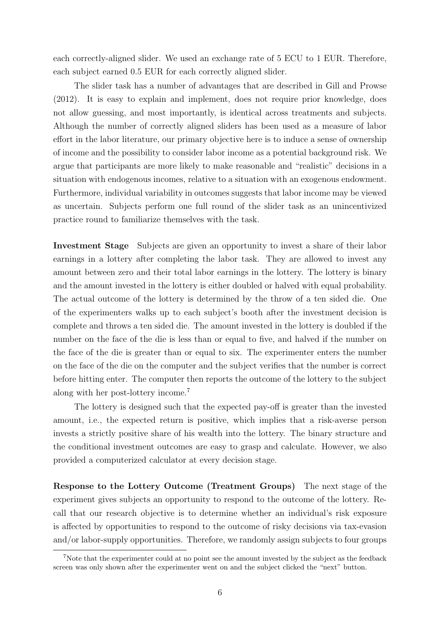each correctly-aligned slider. We used an exchange rate of 5 ECU to 1 EUR. Therefore, each subject earned 0.5 EUR for each correctly aligned slider.

The slider task has a number of advantages that are described in [Gill and Prowse](#page-27-7) [\(2012\).](#page-27-7) It is easy to explain and implement, does not require prior knowledge, does not allow guessing, and most importantly, is identical across treatments and subjects. Although the number of correctly aligned sliders has been used as a measure of labor effort in the labor literature, our primary objective here is to induce a sense of ownership of income and the possibility to consider labor income as a potential background risk. We argue that participants are more likely to make reasonable and "realistic" decisions in a situation with endogenous incomes, relative to a situation with an exogenous endowment. Furthermore, individual variability in outcomes suggests that labor income may be viewed as uncertain. Subjects perform one full round of the slider task as an unincentivized practice round to familiarize themselves with the task.

Investment Stage Subjects are given an opportunity to invest a share of their labor earnings in a lottery after completing the labor task. They are allowed to invest any amount between zero and their total labor earnings in the lottery. The lottery is binary and the amount invested in the lottery is either doubled or halved with equal probability. The actual outcome of the lottery is determined by the throw of a ten sided die. One of the experimenters walks up to each subject's booth after the investment decision is complete and throws a ten sided die. The amount invested in the lottery is doubled if the number on the face of the die is less than or equal to five, and halved if the number on the face of the die is greater than or equal to six. The experimenter enters the number on the face of the die on the computer and the subject verifies that the number is correct before hitting enter. The computer then reports the outcome of the lottery to the subject along with her post-lottery income.[7](#page-8-0)

The lottery is designed such that the expected pay-off is greater than the invested amount, i.e., the expected return is positive, which implies that a risk-averse person invests a strictly positive share of his wealth into the lottery. The binary structure and the conditional investment outcomes are easy to grasp and calculate. However, we also provided a computerized calculator at every decision stage.

Response to the Lottery Outcome (Treatment Groups) The next stage of the experiment gives subjects an opportunity to respond to the outcome of the lottery. Recall that our research objective is to determine whether an individual's risk exposure is affected by opportunities to respond to the outcome of risky decisions via tax-evasion and/or labor-supply opportunities. Therefore, we randomly assign subjects to four groups

<span id="page-8-0"></span><sup>&</sup>lt;sup>7</sup>Note that the experimenter could at no point see the amount invested by the subject as the feedback screen was only shown after the experimenter went on and the subject clicked the "next" button.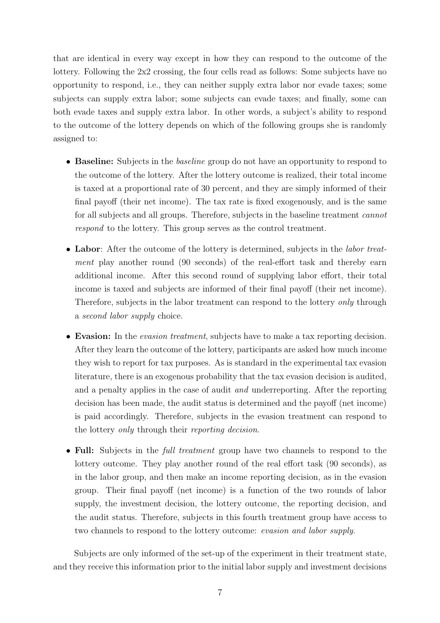that are identical in every way except in how they can respond to the outcome of the lottery. Following the 2x2 crossing, the four cells read as follows: Some subjects have no opportunity to respond, i.e., they can neither supply extra labor nor evade taxes; some subjects can supply extra labor; some subjects can evade taxes; and finally, some can both evade taxes and supply extra labor. In other words, a subject's ability to respond to the outcome of the lottery depends on which of the following groups she is randomly assigned to:

- **Baseline:** Subjects in the *baseline* group do not have an opportunity to respond to the outcome of the lottery. After the lottery outcome is realized, their total income is taxed at a proportional rate of 30 percent, and they are simply informed of their final payoff (their net income). The tax rate is fixed exogenously, and is the same for all subjects and all groups. Therefore, subjects in the baseline treatment cannot respond to the lottery. This group serves as the control treatment.
- Labor: After the outcome of the lottery is determined, subjects in the *labor treat*ment play another round (90 seconds) of the real-effort task and thereby earn additional income. After this second round of supplying labor effort, their total income is taxed and subjects are informed of their final payoff (their net income). Therefore, subjects in the labor treatment can respond to the lottery *only* through a second labor supply choice.
- Evasion: In the *evasion treatment*, subjects have to make a tax reporting decision. After they learn the outcome of the lottery, participants are asked how much income they wish to report for tax purposes. As is standard in the experimental tax evasion literature, there is an exogenous probability that the tax evasion decision is audited, and a penalty applies in the case of audit and underreporting. After the reporting decision has been made, the audit status is determined and the payoff (net income) is paid accordingly. Therefore, subjects in the evasion treatment can respond to the lottery only through their reporting decision.
- Full: Subjects in the *full treatment* group have two channels to respond to the lottery outcome. They play another round of the real effort task (90 seconds), as in the labor group, and then make an income reporting decision, as in the evasion group. Their final payoff (net income) is a function of the two rounds of labor supply, the investment decision, the lottery outcome, the reporting decision, and the audit status. Therefore, subjects in this fourth treatment group have access to two channels to respond to the lottery outcome: evasion and labor supply.

Subjects are only informed of the set-up of the experiment in their treatment state, and they receive this information prior to the initial labor supply and investment decisions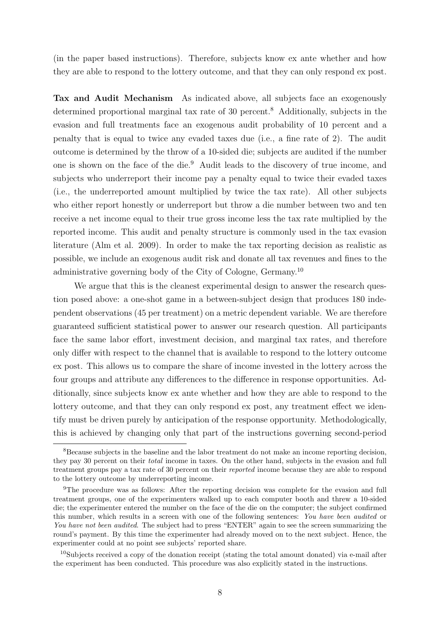(in the paper based instructions). Therefore, subjects know ex ante whether and how they are able to respond to the lottery outcome, and that they can only respond ex post.

Tax and Audit Mechanism As indicated above, all subjects face an exogenously determined proportional marginal tax rate of 30 percent.<sup>[8](#page-10-0)</sup> Additionally, subjects in the evasion and full treatments face an exogenous audit probability of 10 percent and a penalty that is equal to twice any evaded taxes due (i.e., a fine rate of 2). The audit outcome is determined by the throw of a 10-sided die; subjects are audited if the number one is shown on the face of the die.[9](#page-10-1) Audit leads to the discovery of true income, and subjects who underreport their income pay a penalty equal to twice their evaded taxes (i.e., the underreported amount multiplied by twice the tax rate). All other subjects who either report honestly or underreport but throw a die number between two and ten receive a net income equal to their true gross income less the tax rate multiplied by the reported income. This audit and penalty structure is commonly used in the tax evasion literature [\(Alm et al. 2009\)](#page-25-3). In order to make the tax reporting decision as realistic as possible, we include an exogenous audit risk and donate all tax revenues and fines to the administrative governing body of the City of Cologne, Germany.[10](#page-10-2)

We argue that this is the cleanest experimental design to answer the research question posed above: a one-shot game in a between-subject design that produces 180 independent observations (45 per treatment) on a metric dependent variable. We are therefore guaranteed sufficient statistical power to answer our research question. All participants face the same labor effort, investment decision, and marginal tax rates, and therefore only differ with respect to the channel that is available to respond to the lottery outcome ex post. This allows us to compare the share of income invested in the lottery across the four groups and attribute any differences to the difference in response opportunities. Additionally, since subjects know ex ante whether and how they are able to respond to the lottery outcome, and that they can only respond ex post, any treatment effect we identify must be driven purely by anticipation of the response opportunity. Methodologically, this is achieved by changing only that part of the instructions governing second-period

<span id="page-10-0"></span><sup>8</sup>Because subjects in the baseline and the labor treatment do not make an income reporting decision, they pay 30 percent on their total income in taxes. On the other hand, subjects in the evasion and full treatment groups pay a tax rate of 30 percent on their reported income because they are able to respond to the lottery outcome by underreporting income.

<span id="page-10-1"></span><sup>&</sup>lt;sup>9</sup>The procedure was as follows: After the reporting decision was complete for the evasion and full treatment groups, one of the experimenters walked up to each computer booth and threw a 10-sided die; the experimenter entered the number on the face of the die on the computer; the subject confirmed this number, which results in a screen with one of the following sentences: You have been audited or You have not been audited. The subject had to press "ENTER" again to see the screen summarizing the round's payment. By this time the experimenter had already moved on to the next subject. Hence, the experimenter could at no point see subjects' reported share.

<span id="page-10-2"></span><sup>10</sup>Subjects received a copy of the donation receipt (stating the total amount donated) via e-mail after the experiment has been conducted. This procedure was also explicitly stated in the instructions.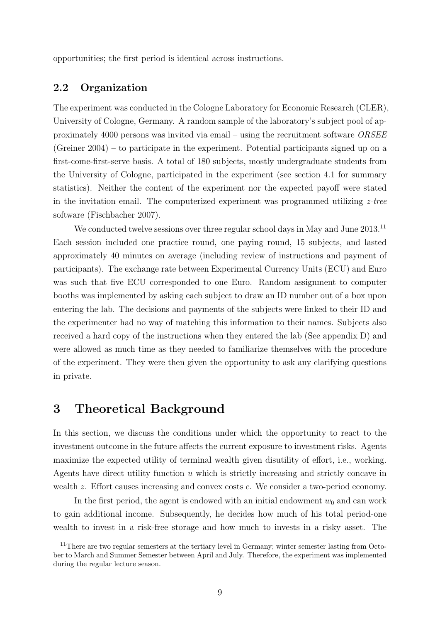opportunities; the first period is identical across instructions.

### 2.2 Organization

The experiment was conducted in the Cologne Laboratory for Economic Research (CLER), University of Cologne, Germany. A random sample of the laboratory's subject pool of approximately 4000 persons was invited via email – using the recruitment software ORSEE [\(Greiner 2004\)](#page-27-11) – to participate in the experiment. Potential participants signed up on a first-come-first-serve basis. A total of 180 subjects, mostly undergraduate students from the University of Cologne, participated in the experiment (see section [4.1](#page-15-1) for summary statistics). Neither the content of the experiment nor the expected payoff were stated in the invitation email. The computerized experiment was programmed utilizing  $z$ -tree software [\(Fischbacher 2007\)](#page-27-12).

We conducted twelve sessions over three regular school days in May and June 2013.<sup>[11](#page-11-1)</sup> Each session included one practice round, one paying round, 15 subjects, and lasted approximately 40 minutes on average (including review of instructions and payment of participants). The exchange rate between Experimental Currency Units (ECU) and Euro was such that five ECU corresponded to one Euro. Random assignment to computer booths was implemented by asking each subject to draw an ID number out of a box upon entering the lab. The decisions and payments of the subjects were linked to their ID and the experimenter had no way of matching this information to their names. Subjects also received a hard copy of the instructions when they entered the lab (See appendix [D\)](#page-33-0) and were allowed as much time as they needed to familiarize themselves with the procedure of the experiment. They were then given the opportunity to ask any clarifying questions in private.

## <span id="page-11-0"></span>3 Theoretical Background

In this section, we discuss the conditions under which the opportunity to react to the investment outcome in the future affects the current exposure to investment risks. Agents maximize the expected utility of terminal wealth given disutility of effort, i.e., working. Agents have direct utility function  $u$  which is strictly increasing and strictly concave in wealth z. Effort causes increasing and convex costs c. We consider a two-period economy.

In the first period, the agent is endowed with an initial endowment  $w_0$  and can work to gain additional income. Subsequently, he decides how much of his total period-one wealth to invest in a risk-free storage and how much to invests in a risky asset. The

<span id="page-11-1"></span><sup>&</sup>lt;sup>11</sup>There are two regular semesters at the tertiary level in Germany; winter semester lasting from October to March and Summer Semester between April and July. Therefore, the experiment was implemented during the regular lecture season.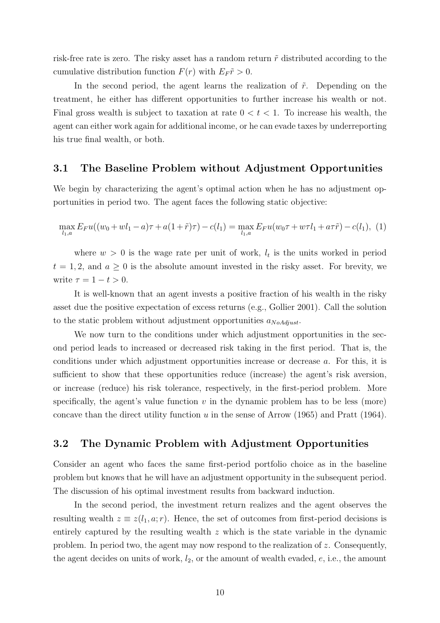risk-free rate is zero. The risky asset has a random return  $\tilde{r}$  distributed according to the cumulative distribution function  $F(r)$  with  $E_F \tilde{r} > 0$ .

In the second period, the agent learns the realization of  $\tilde{r}$ . Depending on the treatment, he either has different opportunities to further increase his wealth or not. Final gross wealth is subject to taxation at rate  $0 < t < 1$ . To increase his wealth, the agent can either work again for additional income, or he can evade taxes by underreporting his true final wealth, or both.

### 3.1 The Baseline Problem without Adjustment Opportunities

We begin by characterizing the agent's optimal action when he has no adjustment opportunities in period two. The agent faces the following static objective:

<span id="page-12-0"></span>
$$
\max_{l_1, a} E_F u((w_0 + wl_1 - a)\tau + a(1 + \tilde{r})\tau) - c(l_1) = \max_{l_1, a} E_F u(w_0\tau + w\tau l_1 + a\tau\tilde{r}) - c(l_1), (1)
$$

where  $w > 0$  is the wage rate per unit of work,  $l_t$  is the units worked in period  $t = 1, 2$ , and  $a \geq 0$  is the absolute amount invested in the risky asset. For brevity, we write  $\tau = 1 - t > 0$ .

It is well-known that an agent invests a positive fraction of his wealth in the risky asset due the positive expectation of excess returns (e.g., [Gollier 2001\)](#page-27-13). Call the solution to the static problem without adjustment opportunities  $a_{NoAdjust}$ .

We now turn to the conditions under which adjustment opportunities in the second period leads to increased or decreased risk taking in the first period. That is, the conditions under which adjustment opportunities increase or decrease a. For this, it is sufficient to show that these opportunities reduce (increase) the agent's risk aversion, or increase (reduce) his risk tolerance, respectively, in the first-period problem. More specifically, the agent's value function  $v$  in the dynamic problem has to be less (more) concave than the direct utility function u in the sense of Arrow  $(1965)$  and Pratt  $(1964)$ .

### 3.2 The Dynamic Problem with Adjustment Opportunities

Consider an agent who faces the same first-period portfolio choice as in the baseline problem but knows that he will have an adjustment opportunity in the subsequent period. The discussion of his optimal investment results from backward induction.

In the second period, the investment return realizes and the agent observes the resulting wealth  $z \equiv z(l_1, a; r)$ . Hence, the set of outcomes from first-period decisions is entirely captured by the resulting wealth  $z$  which is the state variable in the dynamic problem. In period two, the agent may now respond to the realization of z. Consequently, the agent decides on units of work,  $l_2$ , or the amount of wealth evaded,  $e$ , i.e., the amount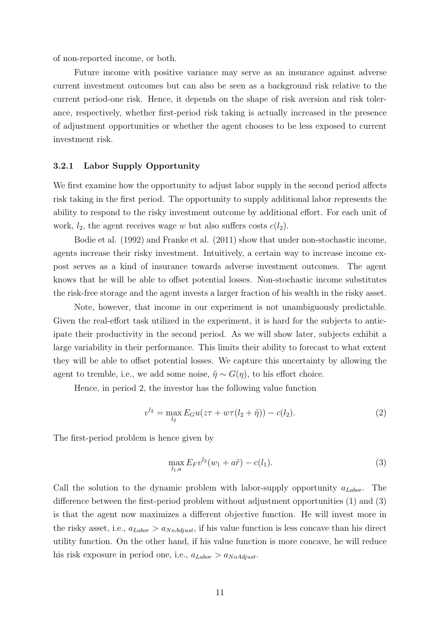of non-reported income, or both.

Future income with positive variance may serve as an insurance against adverse current investment outcomes but can also be seen as a background risk relative to the current period-one risk. Hence, it depends on the shape of risk aversion and risk tolerance, respectively, whether first-period risk taking is actually increased in the presence of adjustment opportunities or whether the agent chooses to be less exposed to current investment risk.

### 3.2.1 Labor Supply Opportunity

We first examine how the opportunity to adjust labor supply in the second period affects risk taking in the first period. The opportunity to supply additional labor represents the ability to respond to the risky investment outcome by additional effort. For each unit of work,  $l_2$ , the agent receives wage w but also suffers costs  $c(l_2)$ .

[Bodie et al. \(1992\)](#page-26-1) and [Franke et al. \(2011\)](#page-27-1) show that under non-stochastic income, agents increase their risky investment. Intuitively, a certain way to increase income expost serves as a kind of insurance towards adverse investment outcomes. The agent knows that he will be able to offset potential losses. Non-stochastic income substitutes the risk-free storage and the agent invests a larger fraction of his wealth in the risky asset.

Note, however, that income in our experiment is not unambiguously predictable. Given the real-effort task utilized in the experiment, it is hard for the subjects to anticipate their productivity in the second period. As we will show later, subjects exhibit a large variability in their performance. This limits their ability to forecast to what extent they will be able to offset potential losses. We capture this uncertainty by allowing the agent to tremble, i.e., we add some noise,  $\tilde{\eta} \sim G(\eta)$ , to his effort choice.

Hence, in period 2, the investor has the following value function

$$
v^{l_2} = \max_{l_2} E_G u(z\tau + w\tau(l_2 + \tilde{\eta})) - c(l_2). \tag{2}
$$

The first-period problem is hence given by

<span id="page-13-0"></span>
$$
\max_{l_1, a} E_F v^{l_2}(w_1 + a\tilde{r}) - c(l_1). \tag{3}
$$

Call the solution to the dynamic problem with labor-supply opportunity  $a_{Labor}$ . The difference between the first-period problem without adjustment opportunities [\(1\)](#page-12-0) and [\(3\)](#page-13-0) is that the agent now maximizes a different objective function. He will invest more in the risky asset, i.e.,  $a_{Labor} > a_{NoAdjust}$ , if his value function is less concave than his direct utility function. On the other hand, if his value function is more concave, he will reduce his risk exposure in period one, i.e.,  $a_{Labor} > a_{NoAdiust}$ .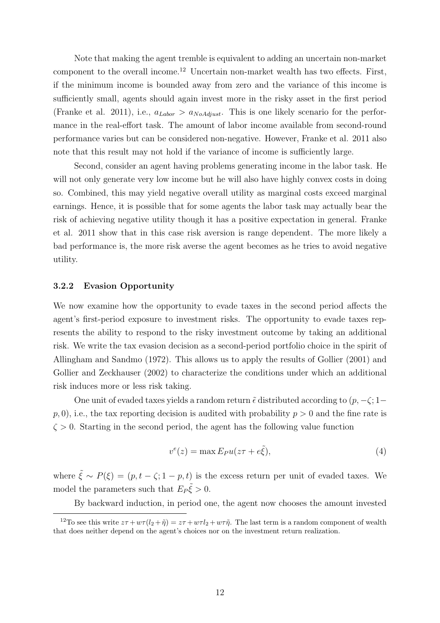Note that making the agent tremble is equivalent to adding an uncertain non-market component to the overall income.[12](#page-14-0) Uncertain non-market wealth has two effects. First, if the minimum income is bounded away from zero and the variance of this income is sufficiently small, agents should again invest more in the risky asset in the first period [\(Franke et al. 2011\)](#page-27-1), i.e.,  $a_{Labor} > a_{NoAdjust}$ . This is one likely scenario for the performance in the real-effort task. The amount of labor income available from second-round performance varies but can be considered non-negative. However, [Franke et al. 2011](#page-27-1) also note that this result may not hold if the variance of income is sufficiently large.

Second, consider an agent having problems generating income in the labor task. He will not only generate very low income but he will also have highly convex costs in doing so. Combined, this may yield negative overall utility as marginal costs exceed marginal earnings. Hence, it is possible that for some agents the labor task may actually bear the risk of achieving negative utility though it has a positive expectation in general. [Franke](#page-27-1) [et al. 2011](#page-27-1) show that in this case risk aversion is range dependent. The more likely a bad performance is, the more risk averse the agent becomes as he tries to avoid negative utility.

#### 3.2.2 Evasion Opportunity

We now examine how the opportunity to evade taxes in the second period affects the agent's first-period exposure to investment risks. The opportunity to evade taxes represents the ability to respond to the risky investment outcome by taking an additional risk. We write the tax evasion decision as a second-period portfolio choice in the spirit of [Allingham and Sandmo \(1972\).](#page-25-5) This allows us to apply the results of [Gollier \(2001\)](#page-27-13) and [Gollier and Zeckhauser \(2002\)](#page-27-2) to characterize the conditions under which an additional risk induces more or less risk taking.

One unit of evaded taxes yields a random return  $\tilde{\epsilon}$  distributed according to  $(p, -\zeta; 1-\zeta)$  $p$ , 0), i.e., the tax reporting decision is audited with probability  $p > 0$  and the fine rate is  $\zeta > 0$ . Starting in the second period, the agent has the following value function

$$
v^{e}(z) = \max E_{P} u(z\tau + e\tilde{\xi}), \qquad (4)
$$

where  $\tilde{\xi} \sim P(\xi) = (p, t - \zeta; 1 - p, t)$  is the excess return per unit of evaded taxes. We model the parameters such that  $E_P \tilde{\xi} > 0$ .

By backward induction, in period one, the agent now chooses the amount invested

<span id="page-14-0"></span><sup>&</sup>lt;sup>12</sup>To see this write  $z\tau + w\tau(l_2 + \tilde{\eta}) = z\tau + w\tau l_2 + w\tau \tilde{\eta}$ . The last term is a random component of wealth that does neither depend on the agent's choices nor on the investment return realization.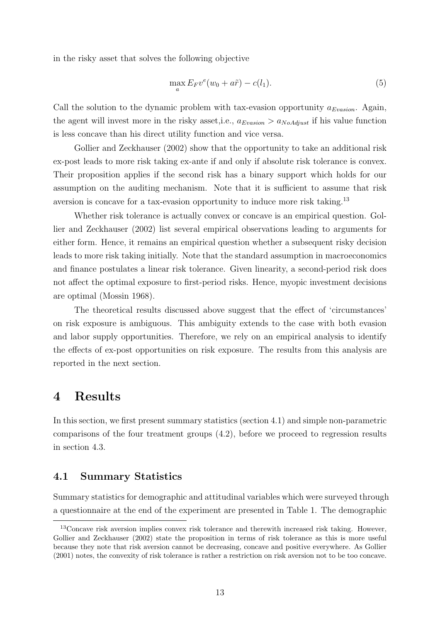in the risky asset that solves the following objective

$$
\max_{a} E_F v^e(w_0 + a\tilde{r}) - c(l_1). \tag{5}
$$

Call the solution to the dynamic problem with tax-evasion opportunity  $a_{Evasion}$ . Again, the agent will invest more in the risky asset, i.e.,  $a_{Evasion} > a_{NoAdjust}$  if his value function is less concave than his direct utility function and vice versa.

[Gollier and Zeckhauser \(2002\)](#page-27-2) show that the opportunity to take an additional risk ex-post leads to more risk taking ex-ante if and only if absolute risk tolerance is convex. Their proposition applies if the second risk has a binary support which holds for our assumption on the auditing mechanism. Note that it is sufficient to assume that risk aversion is concave for a tax-evasion opportunity to induce more risk taking.<sup>[13](#page-15-2)</sup>

Whether risk tolerance is actually convex or concave is an empirical question. [Gol](#page-27-2)[lier and Zeckhauser \(2002\)](#page-27-2) list several empirical observations leading to arguments for either form. Hence, it remains an empirical question whether a subsequent risky decision leads to more risk taking initially. Note that the standard assumption in macroeconomics and finance postulates a linear risk tolerance. Given linearity, a second-period risk does not affect the optimal exposure to first-period risks. Hence, myopic investment decisions are optimal [\(Mossin 1968\)](#page-28-8).

The theoretical results discussed above suggest that the effect of 'circumstances' on risk exposure is ambiguous. This ambiguity extends to the case with both evasion and labor supply opportunities. Therefore, we rely on an empirical analysis to identify the effects of ex-post opportunities on risk exposure. The results from this analysis are reported in the next section.

## <span id="page-15-0"></span>4 Results

In this section, we first present summary statistics (section [4.1\)](#page-15-1) and simple non-parametric comparisons of the four treatment groups [\(4.2\)](#page-16-0), before we proceed to regression results in section [4.3.](#page-19-0)

### <span id="page-15-1"></span>4.1 Summary Statistics

Summary statistics for demographic and attitudinal variables which were surveyed through a questionnaire at the end of the experiment are presented in Table [1.](#page-16-1) The demographic

<span id="page-15-2"></span><sup>13</sup>Concave risk aversion implies convex risk tolerance and therewith increased risk taking. However, [Gollier and Zeckhauser \(2002\)](#page-27-2) state the proposition in terms of risk tolerance as this is more useful because they note that risk aversion cannot be decreasing, concave and positive everywhere. As [Gollier](#page-27-13) [\(2001\)](#page-27-13) notes, the convexity of risk tolerance is rather a restriction on risk aversion not to be too concave.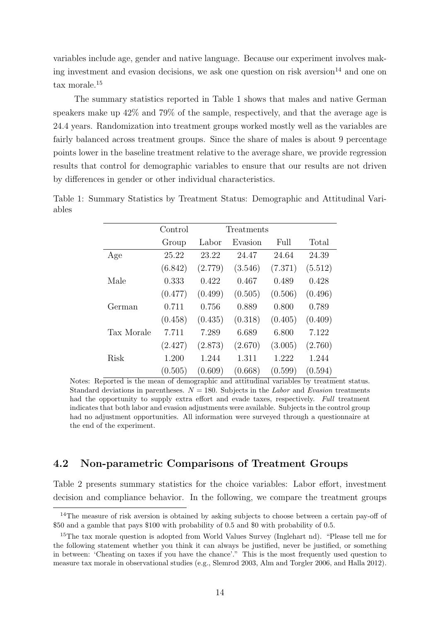variables include age, gender and native language. Because our experiment involves mak-ing investment and evasion decisions, we ask one question on risk aversion<sup>[14](#page-16-2)</sup> and one on tax morale.[15](#page-16-3)

The summary statistics reported in Table [1](#page-16-1) shows that males and native German speakers make up 42% and 79% of the sample, respectively, and that the average age is 24.4 years. Randomization into treatment groups worked mostly well as the variables are fairly balanced across treatment groups. Since the share of males is about 9 percentage points lower in the baseline treatment relative to the average share, we provide regression results that control for demographic variables to ensure that our results are not driven by differences in gender or other individual characteristics.

|            | Control | Treatments |         |         |         |
|------------|---------|------------|---------|---------|---------|
|            | Group   | Labor      | Evasion | Full    | Total   |
| Age        | 25.22   | 23.22      | 24.47   | 24.64   | 24.39   |
|            | (6.842) | (2.779)    | (3.546) | (7.371) | (5.512) |
| Male       | 0.333   | 0.422      | 0.467   | 0.489   | 0.428   |
|            | (0.477) | (0.499)    | (0.505) | (0.506) | (0.496) |
| German     | 0.711   | 0.756      | 0.889   | 0.800   | 0.789   |
|            | (0.458) | (0.435)    | (0.318) | (0.405) | (0.409) |
| Tax Morale | 7.711   | 7.289      | 6.689   | 6.800   | 7.122   |
|            | (2.427) | (2.873)    | (2.670) | (3.005) | (2.760) |
| Risk       | 1.200   | 1.244      | 1.311   | 1.222   | 1.244   |
|            | (0.505) | (0.609)    | (0.668) | (0.599) | (0.594) |

<span id="page-16-1"></span>Table 1: Summary Statistics by Treatment Status: Demographic and Attitudinal Variables

Notes: Reported is the mean of demographic and attitudinal variables by treatment status. Standard deviations in parentheses.  $N = 180$ . Subjects in the Labor and Evasion treatments had the opportunity to supply extra effort and evade taxes, respectively. Full treatment indicates that both labor and evasion adjustments were available. Subjects in the control group had no adjustment opportunities. All information were surveyed through a questionnaire at the end of the experiment.

### <span id="page-16-0"></span>4.2 Non-parametric Comparisons of Treatment Groups

Table [2](#page-17-0) presents summary statistics for the choice variables: Labor effort, investment decision and compliance behavior. In the following, we compare the treatment groups

<span id="page-16-2"></span><sup>&</sup>lt;sup>14</sup>The measure of risk aversion is obtained by asking subjects to choose between a certain pay-off of \$50 and a gamble that pays \$100 with probability of 0.5 and \$0 with probability of 0.5.

<span id="page-16-3"></span><sup>&</sup>lt;sup>15</sup>The tax morale question is adopted from World Values Survey [\(Inglehart nd\)](#page-27-14). "Please tell me for the following statement whether you think it can always be justified, never be justified, or something in between: 'Cheating on taxes if you have the chance'." This is the most frequently used question to measure tax morale in observational studies (e.g., [Slemrod 2003,](#page-28-9) [Alm and Torgler 2006,](#page-25-6) and [Halla 2012\)](#page-27-15).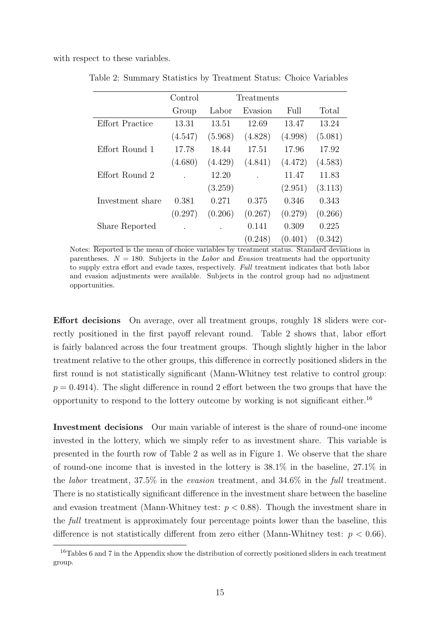<span id="page-17-0"></span>with respect to these variables.

|                        | Control | Treatments |         |         |         |
|------------------------|---------|------------|---------|---------|---------|
|                        | Group   | Labor      | Evasion | Full    | Total   |
| <b>Effort Practice</b> | 13.31   | 13.51      | 12.69   | 13.47   | 13.24   |
|                        | (4.547) | (5.968)    | (4.828) | (4.998) | (5.081) |
| Effort Round 1         | 17.78   | 18.44      | 17.51   | 17.96   | 17.92   |
|                        | (4.680) | (4.429)    | (4.841) | (4.472) | (4.583) |
| Effort Round 2         |         | 12.20      |         | 11.47   | 11.83   |
|                        |         | (3.259)    |         | (2.951) | (3.113) |
| Investment share       | 0.381   | 0.271      | 0.375   | 0.346   | 0.343   |
|                        | (0.297) | (0.206)    | (0.267) | (0.279) | (0.266) |
| Share Reported         |         |            | 0.141   | 0.309   | 0.225   |
|                        |         |            | (0.248) | (0.401) | (0.342) |

Table 2: Summary Statistics by Treatment Status: Choice Variables

Notes: Reported is the mean of choice variables by treatment status. Standard deviations in parentheses.  $N = 180$ . Subjects in the Labor and Evasion treatments had the opportunity to supply extra effort and evade taxes, respectively. Full treatment indicates that both labor and evasion adjustments were available. Subjects in the control group had no adjustment opportunities.

Effort decisions On average, over all treatment groups, roughly 18 sliders were correctly positioned in the first payoff relevant round. Table [2](#page-17-0) shows that, labor effort is fairly balanced across the four treatment groups. Though slightly higher in the labor treatment relative to the other groups, this difference in correctly positioned sliders in the first round is not statistically significant (Mann-Whitney test relative to control group:  $p = 0.4914$ . The slight difference in round 2 effort between the two groups that have the opportunity to respond to the lottery outcome by working is not significant either.[16](#page-17-1)

Investment decisions Our main variable of interest is the share of round-one income invested in the lottery, which we simply refer to as investment share. This variable is presented in the fourth row of Table [2](#page-17-0) as well as in Figure [1.](#page-18-0) We observe that the share of round-one income that is invested in the lottery is 38.1% in the baseline, 27.1% in the labor treatment, 37.5% in the evasion treatment, and 34.6% in the full treatment. There is no statistically significant difference in the investment share between the baseline and evasion treatment (Mann-Whitney test:  $p < 0.88$ ). Though the investment share in the full treatment is approximately four percentage points lower than the baseline, this difference is not statistically different from zero either (Mann-Whitney test:  $p < 0.66$ ).

<span id="page-17-1"></span><sup>&</sup>lt;sup>16</sup>Tables [6](#page-31-0) and [7](#page-31-1) in the Appendix show the distribution of correctly positioned sliders in each treatment group.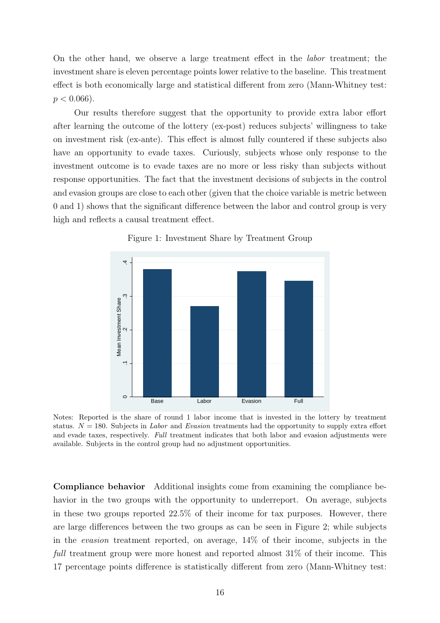On the other hand, we observe a large treatment effect in the labor treatment; the investment share is eleven percentage points lower relative to the baseline. This treatment effect is both economically large and statistical different from zero (Mann-Whitney test:  $p < 0.066$ ).

Our results therefore suggest that the opportunity to provide extra labor effort after learning the outcome of the lottery (ex-post) reduces subjects' willingness to take on investment risk (ex-ante). This effect is almost fully countered if these subjects also have an opportunity to evade taxes. Curiously, subjects whose only response to the investment outcome is to evade taxes are no more or less risky than subjects without response opportunities. The fact that the investment decisions of subjects in the control and evasion groups are close to each other (given that the choice variable is metric between 0 and 1) shows that the significant difference between the labor and control group is very high and reflects a causal treatment effect.

<span id="page-18-0"></span>

Figure 1: Investment Share by Treatment Group

Notes: Reported is the share of round 1 labor income that is invested in the lottery by treatment status.  $N = 180$ . Subjects in *Labor* and *Evasion* treatments had the opportunity to supply extra effort and evade taxes, respectively. Full treatment indicates that both labor and evasion adjustments were available. Subjects in the control group had no adjustment opportunities.

Compliance behavior Additional insights come from examining the compliance behavior in the two groups with the opportunity to underreport. On average, subjects in these two groups reported 22.5% of their income for tax purposes. However, there are large differences between the two groups as can be seen in Figure [2;](#page-19-1) while subjects in the evasion treatment reported, on average, 14% of their income, subjects in the full treatment group were more honest and reported almost 31% of their income. This 17 percentage points difference is statistically different from zero (Mann-Whitney test: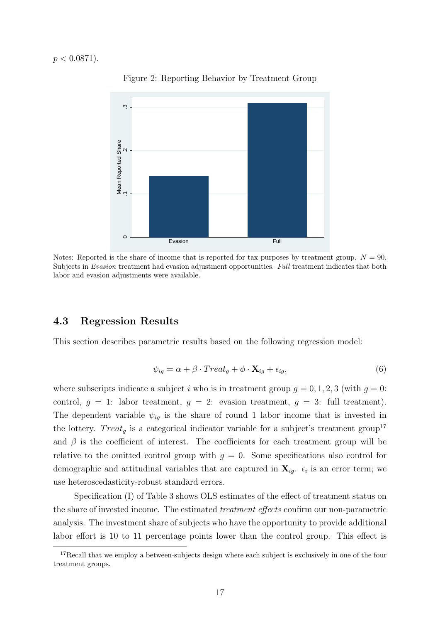<span id="page-19-1"></span> $p < 0.0871$ ).



Figure 2: Reporting Behavior by Treatment Group

Notes: Reported is the share of income that is reported for tax purposes by treatment group.  $N = 90$ . Subjects in Evasion treatment had evasion adjustment opportunities. Full treatment indicates that both labor and evasion adjustments were available.

## <span id="page-19-0"></span>4.3 Regression Results

This section describes parametric results based on the following regression model:

<span id="page-19-3"></span>
$$
\psi_{ig} = \alpha + \beta \cdot Treat_g + \phi \cdot \mathbf{X}_{ig} + \epsilon_{ig},\tag{6}
$$

where subscripts indicate a subject i who is in treatment group  $q = 0, 1, 2, 3$  (with  $q = 0$ : control,  $g = 1$ : labor treatment,  $g = 2$ : evasion treatment,  $g = 3$ : full treatment). The dependent variable  $\psi_{ig}$  is the share of round 1 labor income that is invested in the lottery. *Treat<sub>g</sub>* is a categorical indicator variable for a subject's treatment group<sup>[17](#page-19-2)</sup> and  $\beta$  is the coefficient of interest. The coefficients for each treatment group will be relative to the omitted control group with  $g = 0$ . Some specifications also control for demographic and attitudinal variables that are captured in  $\mathbf{X}_{ig.}$   $\epsilon_i$  is an error term; we use heteroscedasticity-robust standard errors.

Specification (I) of Table [3](#page-20-0) shows OLS estimates of the effect of treatment status on the share of invested income. The estimated treatment effects confirm our non-parametric analysis. The investment share of subjects who have the opportunity to provide additional labor effort is 10 to 11 percentage points lower than the control group. This effect is

<span id="page-19-2"></span><sup>&</sup>lt;sup>17</sup>Recall that we employ a between-subjects design where each subject is exclusively in one of the four treatment groups.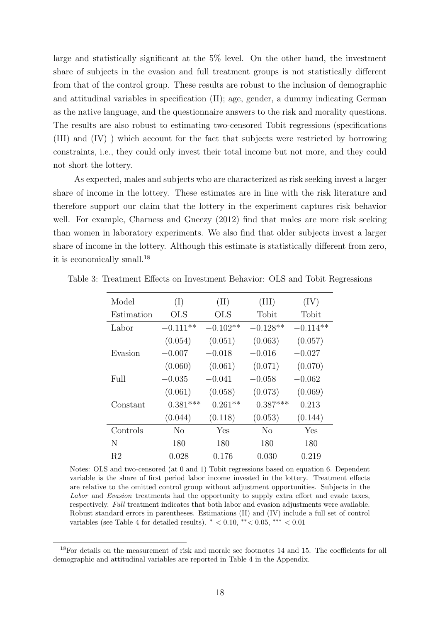large and statistically significant at the 5% level. On the other hand, the investment share of subjects in the evasion and full treatment groups is not statistically different from that of the control group. These results are robust to the inclusion of demographic and attitudinal variables in specification (II); age, gender, a dummy indicating German as the native language, and the questionnaire answers to the risk and morality questions. The results are also robust to estimating two-censored Tobit regressions (specifications (III) and (IV) ) which account for the fact that subjects were restricted by borrowing constraints, i.e., they could only invest their total income but not more, and they could not short the lottery.

As expected, males and subjects who are characterized as risk seeking invest a larger share of income in the lottery. These estimates are in line with the risk literature and therefore support our claim that the lottery in the experiment captures risk behavior well. For example, [Charness and Gneezy \(2012\)](#page-26-8) find that males are more risk seeking than women in laboratory experiments. We also find that older subjects invest a larger share of income in the lottery. Although this estimate is statistically different from zero, it is economically small.<sup>[18](#page-20-1)</sup>

| Model      | (I)          | (II)       | (III)      | (IV)       |
|------------|--------------|------------|------------|------------|
| Estimation | $_{\rm OLS}$ | <b>OLS</b> | Tobit      | Tobit      |
| Labor      | $-0.111**$   | $-0.102**$ | $-0.128**$ | $-0.114**$ |
|            | (0.054)      | (0.051)    | (0.063)    | (0.057)    |
| Evasion    | $-0.007$     | $-0.018$   | $-0.016$   | $-0.027$   |
|            | (0.060)      | (0.061)    | (0.071)    | (0.070)    |
| Full       | $-0.035$     | $-0.041$   | $-0.058$   | $-0.062$   |
|            | (0.061)      | (0.058)    | (0.073)    | (0.069)    |
| Constant   | $0.381***$   | $0.261**$  | $0.387***$ | 0.213      |
|            | (0.044)      | (0.118)    | (0.053)    | (0.144)    |
| Controls   | No           | Yes        | No         | Yes        |
| N          | 180          | 180        | 180        | 180        |
| R2         | 0.028        | 0.176      | 0.030      | 0.219      |

<span id="page-20-0"></span>Table 3: Treatment Effects on Investment Behavior: OLS and Tobit Regressions

Notes: OLS and two-censored (at 0 and 1) Tobit regressions based on equation [6.](#page-19-3) Dependent variable is the share of first period labor income invested in the lottery. Treatment effects are relative to the omitted control group without adjustment opportunities. Subjects in the Labor and Evasion treatments had the opportunity to supply extra effort and evade taxes, respectively. Full treatment indicates that both labor and evasion adjustments were available. Robust standard errors in parentheses. Estimations (II) and (IV) include a full set of control variables (see Table [4](#page-32-0) for detailed results).  $* < 0.10, ** < 0.05, ** < 0.01$ 

<span id="page-20-1"></span><sup>&</sup>lt;sup>18</sup>For details on the measurement of risk and morale see footnotes [14](#page-16-2) and [15.](#page-16-3) The coefficients for all demographic and attitudinal variables are reported in Table [4](#page-32-0) in the Appendix.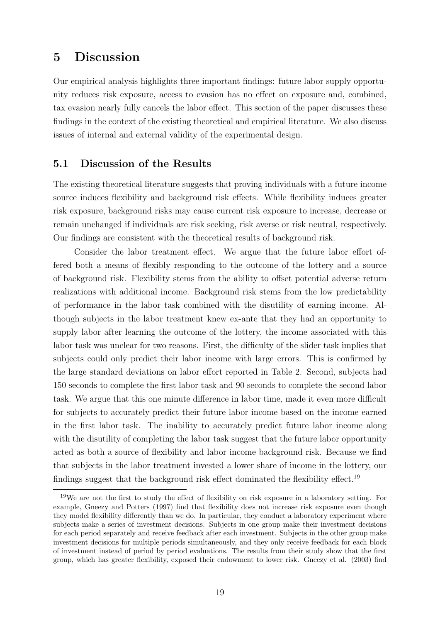# <span id="page-21-0"></span>5 Discussion

Our empirical analysis highlights three important findings: future labor supply opportunity reduces risk exposure, access to evasion has no effect on exposure and, combined, tax evasion nearly fully cancels the labor effect. This section of the paper discusses these findings in the context of the existing theoretical and empirical literature. We also discuss issues of internal and external validity of the experimental design.

### 5.1 Discussion of the Results

The existing theoretical literature suggests that proving individuals with a future income source induces flexibility and background risk effects. While flexibility induces greater risk exposure, background risks may cause current risk exposure to increase, decrease or remain unchanged if individuals are risk seeking, risk averse or risk neutral, respectively. Our findings are consistent with the theoretical results of background risk.

Consider the labor treatment effect. We argue that the future labor effort offered both a means of flexibly responding to the outcome of the lottery and a source of background risk. Flexibility stems from the ability to offset potential adverse return realizations with additional income. Background risk stems from the low predictability of performance in the labor task combined with the disutility of earning income. Although subjects in the labor treatment knew ex-ante that they had an opportunity to supply labor after learning the outcome of the lottery, the income associated with this labor task was unclear for two reasons. First, the difficulty of the slider task implies that subjects could only predict their labor income with large errors. This is confirmed by the large standard deviations on labor effort reported in Table [2.](#page-17-0) Second, subjects had 150 seconds to complete the first labor task and 90 seconds to complete the second labor task. We argue that this one minute difference in labor time, made it even more difficult for subjects to accurately predict their future labor income based on the income earned in the first labor task. The inability to accurately predict future labor income along with the disutility of completing the labor task suggest that the future labor opportunity acted as both a source of flexibility and labor income background risk. Because we find that subjects in the labor treatment invested a lower share of income in the lottery, our findings suggest that the background risk effect dominated the flexibility effect.[19](#page-21-1)

<span id="page-21-1"></span><sup>19</sup>We are not the first to study the effect of flexibility on risk exposure in a laboratory setting. For example, [Gneezy and Potters \(1997\)](#page-27-6) find that flexibility does not increase risk exposure even though they model flexibility differently than we do. In particular, they conduct a laboratory experiment where subjects make a series of investment decisions. Subjects in one group make their investment decisions for each period separately and receive feedback after each investment. Subjects in the other group make investment decisions for multiple periods simultaneously, and they only receive feedback for each block of investment instead of period by period evaluations. The results from their study show that the first group, which has greater flexibility, exposed their endowment to lower risk. [Gneezy et al. \(2003\)](#page-27-16) find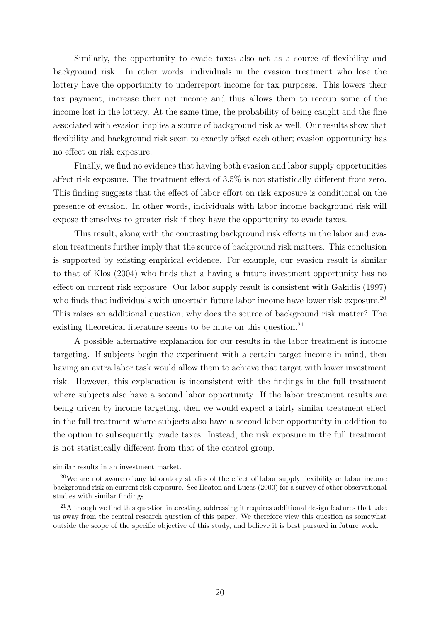Similarly, the opportunity to evade taxes also act as a source of flexibility and background risk. In other words, individuals in the evasion treatment who lose the lottery have the opportunity to underreport income for tax purposes. This lowers their tax payment, increase their net income and thus allows them to recoup some of the income lost in the lottery. At the same time, the probability of being caught and the fine associated with evasion implies a source of background risk as well. Our results show that flexibility and background risk seem to exactly offset each other; evasion opportunity has no effect on risk exposure.

Finally, we find no evidence that having both evasion and labor supply opportunities affect risk exposure. The treatment effect of 3.5% is not statistically different from zero. This finding suggests that the effect of labor effort on risk exposure is conditional on the presence of evasion. In other words, individuals with labor income background risk will expose themselves to greater risk if they have the opportunity to evade taxes.

This result, along with the contrasting background risk effects in the labor and evasion treatments further imply that the source of background risk matters. This conclusion is supported by existing empirical evidence. For example, our evasion result is similar to that of [Klos \(2004\)](#page-28-0) who finds that a having a future investment opportunity has no effect on current risk exposure. Our labor supply result is consistent with [Gakidis \(1997\)](#page-27-4) who finds that individuals with uncertain future labor income have lower risk exposure.<sup>[20](#page-22-0)</sup> This raises an additional question; why does the source of background risk matter? The existing theoretical literature seems to be mute on this question.<sup>[21](#page-22-1)</sup>

A possible alternative explanation for our results in the labor treatment is income targeting. If subjects begin the experiment with a certain target income in mind, then having an extra labor task would allow them to achieve that target with lower investment risk. However, this explanation is inconsistent with the findings in the full treatment where subjects also have a second labor opportunity. If the labor treatment results are being driven by income targeting, then we would expect a fairly similar treatment effect in the full treatment where subjects also have a second labor opportunity in addition to the option to subsequently evade taxes. Instead, the risk exposure in the full treatment is not statistically different from that of the control group.

similar results in an investment market.

<span id="page-22-0"></span><sup>&</sup>lt;sup>20</sup>We are not aware of any laboratory studies of the effect of labor supply flexibility or labor income background risk on current risk exposure. See [Heaton and Lucas \(2000\)](#page-27-0) for a survey of other observational studies with similar findings.

<span id="page-22-1"></span><sup>&</sup>lt;sup>21</sup>Although we find this question interesting, addressing it requires additional design features that take us away from the central research question of this paper. We therefore view this question as somewhat outside the scope of the specific objective of this study, and believe it is best pursued in future work.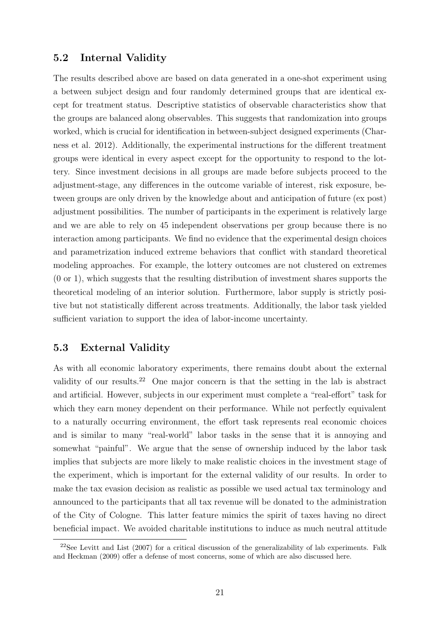## 5.2 Internal Validity

The results described above are based on data generated in a one-shot experiment using a between subject design and four randomly determined groups that are identical except for treatment status. Descriptive statistics of observable characteristics show that the groups are balanced along observables. This suggests that randomization into groups worked, which is crucial for identification in between-subject designed experiments [\(Char](#page-26-9)[ness et al. 2012\)](#page-26-9). Additionally, the experimental instructions for the different treatment groups were identical in every aspect except for the opportunity to respond to the lottery. Since investment decisions in all groups are made before subjects proceed to the adjustment-stage, any differences in the outcome variable of interest, risk exposure, between groups are only driven by the knowledge about and anticipation of future (ex post) adjustment possibilities. The number of participants in the experiment is relatively large and we are able to rely on 45 independent observations per group because there is no interaction among participants. We find no evidence that the experimental design choices and parametrization induced extreme behaviors that conflict with standard theoretical modeling approaches. For example, the lottery outcomes are not clustered on extremes (0 or 1), which suggests that the resulting distribution of investment shares supports the theoretical modeling of an interior solution. Furthermore, labor supply is strictly positive but not statistically different across treatments. Additionally, the labor task yielded sufficient variation to support the idea of labor-income uncertainty.

## <span id="page-23-0"></span>5.3 External Validity

As with all economic laboratory experiments, there remains doubt about the external validity of our results.<sup>[22](#page-23-1)</sup> One major concern is that the setting in the lab is abstract and artificial. However, subjects in our experiment must complete a "real-effort" task for which they earn money dependent on their performance. While not perfectly equivalent to a naturally occurring environment, the effort task represents real economic choices and is similar to many "real-world" labor tasks in the sense that it is annoying and somewhat "painful". We argue that the sense of ownership induced by the labor task implies that subjects are more likely to make realistic choices in the investment stage of the experiment, which is important for the external validity of our results. In order to make the tax evasion decision as realistic as possible we used actual tax terminology and announced to the participants that all tax revenue will be donated to the administration of the City of Cologne. This latter feature mimics the spirit of taxes having no direct beneficial impact. We avoided charitable institutions to induce as much neutral attitude

<span id="page-23-1"></span><sup>&</sup>lt;sup>22</sup>See [Levitt and List \(2007\)](#page-28-10) for a critical discussion of the generalizability of lab experiments. [Falk](#page-26-10) [and Heckman \(2009\)](#page-26-10) offer a defense of most concerns, some of which are also discussed here.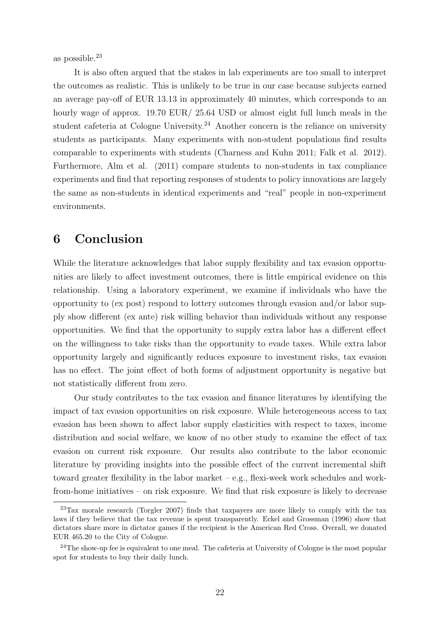as possible.[23](#page-24-1)

It is also often argued that the stakes in lab experiments are too small to interpret the outcomes as realistic. This is unlikely to be true in our case because subjects earned an average pay-off of EUR 13.13 in approximately 40 minutes, which corresponds to an hourly wage of approx. 19.70 EUR/ 25.64 USD or almost eight full lunch meals in the student cafeteria at Cologne University.<sup>[24](#page-24-2)</sup> Another concern is the reliance on university students as participants. Many experiments with non-student populations find results comparable to experiments with students [\(Charness and Kuhn 2011;](#page-26-5) [Falk et al. 2012\)](#page-26-11). Furthermore, [Alm et al. \(2011\)](#page-25-7) compare students to non-students in tax compliance experiments and find that reporting responses of students to policy innovations are largely the same as non-students in identical experiments and "real" people in non-experiment environments.

# <span id="page-24-0"></span>6 Conclusion

While the literature acknowledges that labor supply flexibility and tax evasion opportunities are likely to affect investment outcomes, there is little empirical evidence on this relationship. Using a laboratory experiment, we examine if individuals who have the opportunity to (ex post) respond to lottery outcomes through evasion and/or labor supply show different (ex ante) risk willing behavior than individuals without any response opportunities. We find that the opportunity to supply extra labor has a different effect on the willingness to take risks than the opportunity to evade taxes. While extra labor opportunity largely and significantly reduces exposure to investment risks, tax evasion has no effect. The joint effect of both forms of adjustment opportunity is negative but not statistically different from zero.

Our study contributes to the tax evasion and finance literatures by identifying the impact of tax evasion opportunities on risk exposure. While heterogeneous access to tax evasion has been shown to affect labor supply elasticities with respect to taxes, income distribution and social welfare, we know of no other study to examine the effect of tax evasion on current risk exposure. Our results also contribute to the labor economic literature by providing insights into the possible effect of the current incremental shift toward greater flexibility in the labor market – e.g., flexi-week work schedules and workfrom-home initiatives – on risk exposure. We find that risk exposure is likely to decrease

<span id="page-24-1"></span><sup>23</sup>Tax morale research [\(Torgler 2007\)](#page-28-11) finds that taxpayers are more likely to comply with the tax laws if they believe that the tax revenue is spent transparently. [Eckel and Grossman \(1996\)](#page-26-12) show that dictators share more in dictator games if the recipient is the American Red Cross. Overall, we donated EUR 465.20 to the City of Cologne.

<span id="page-24-2"></span><sup>24</sup>The show-up fee is equivalent to one meal. The cafeteria at University of Cologne is the most popular spot for students to buy their daily lunch.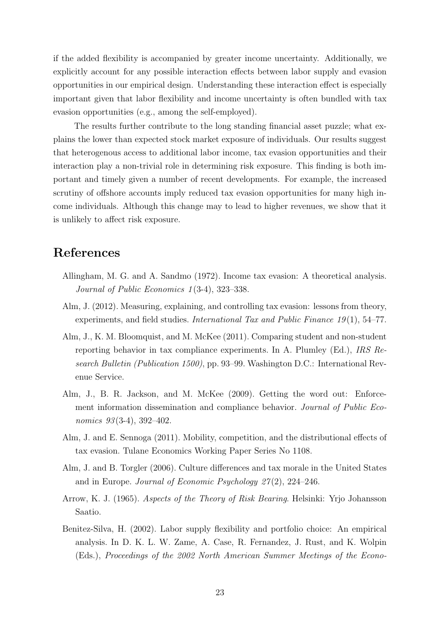if the added flexibility is accompanied by greater income uncertainty. Additionally, we explicitly account for any possible interaction effects between labor supply and evasion opportunities in our empirical design. Understanding these interaction effect is especially important given that labor flexibility and income uncertainty is often bundled with tax evasion opportunities (e.g., among the self-employed).

The results further contribute to the long standing financial asset puzzle; what explains the lower than expected stock market exposure of individuals. Our results suggest that heterogenous access to additional labor income, tax evasion opportunities and their interaction play a non-trivial role in determining risk exposure. This finding is both important and timely given a number of recent developments. For example, the increased scrutiny of offshore accounts imply reduced tax evasion opportunities for many high income individuals. Although this change may to lead to higher revenues, we show that it is unlikely to affect risk exposure.

# References

- <span id="page-25-5"></span>Allingham, M. G. and A. Sandmo (1972). Income tax evasion: A theoretical analysis. Journal of Public Economics 1(3-4), 323–338.
- <span id="page-25-2"></span>Alm, J. (2012). Measuring, explaining, and controlling tax evasion: lessons from theory, experiments, and field studies. International Tax and Public Finance 19(1), 54–77.
- <span id="page-25-7"></span>Alm, J., K. M. Bloomquist, and M. McKee (2011). Comparing student and non-student reporting behavior in tax compliance experiments. In A. Plumley (Ed.), IRS Research Bulletin (Publication 1500), pp. 93–99. Washington D.C.: International Revenue Service.
- <span id="page-25-3"></span>Alm, J., B. R. Jackson, and M. McKee (2009). Getting the word out: Enforcement information dissemination and compliance behavior. Journal of Public Economics  $93(3-4)$ ,  $392-402$ .
- <span id="page-25-1"></span>Alm, J. and E. Sennoga (2011). Mobility, competition, and the distributional effects of tax evasion. Tulane Economics Working Paper Series No 1108.
- <span id="page-25-6"></span>Alm, J. and B. Torgler (2006). Culture differences and tax morale in the United States and in Europe. Journal of Economic Psychology  $27(2)$ , 224–246.
- <span id="page-25-4"></span>Arrow, K. J. (1965). Aspects of the Theory of Risk Bearing. Helsinki: Yrjo Johansson Saatio.
- <span id="page-25-0"></span>Benitez-Silva, H. (2002). Labor supply flexibility and portfolio choice: An empirical analysis. In D. K. L. W. Zame, A. Case, R. Fernandez, J. Rust, and K. Wolpin (Eds.), Proceedings of the 2002 North American Summer Meetings of the Econo-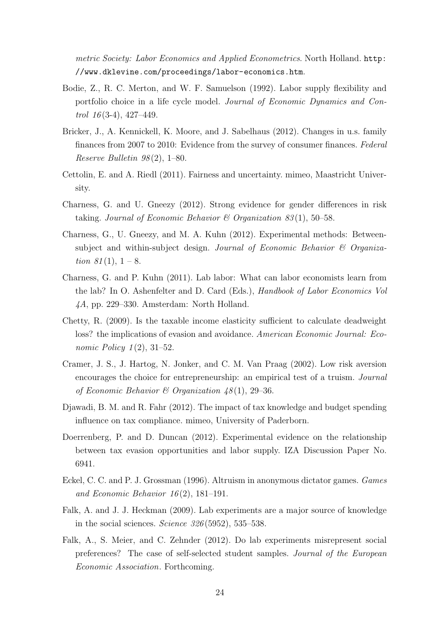metric Society: Labor Economics and Applied Econometrics. North Holland. [http:](http://www.dklevine.com/proceedings/labor-economics.htm) [//www.dklevine.com/proceedings/labor-economics.htm](http://www.dklevine.com/proceedings/labor-economics.htm).

- <span id="page-26-1"></span>Bodie, Z., R. C. Merton, and W. F. Samuelson (1992). Labor supply flexibility and portfolio choice in a life cycle model. Journal of Economic Dynamics and Control  $16(3-4)$ ,  $427-449$ .
- <span id="page-26-0"></span>Bricker, J., A. Kennickell, K. Moore, and J. Sabelhaus (2012). Changes in u.s. family finances from 2007 to 2010: Evidence from the survey of consumer finances. Federal Reserve Bulletin  $98(2)$ , 1–80.
- <span id="page-26-6"></span>Cettolin, E. and A. Riedl (2011). Fairness and uncertainty. mimeo, Maastricht University.
- <span id="page-26-8"></span>Charness, G. and U. Gneezy (2012). Strong evidence for gender differences in risk taking. Journal of Economic Behavior & Organization  $83(1)$ , 50–58.
- <span id="page-26-9"></span>Charness, G., U. Gneezy, and M. A. Kuhn (2012). Experimental methods: Betweensubject and within-subject design. Journal of Economic Behavior & Organization  $81(1), 1-8.$
- <span id="page-26-5"></span>Charness, G. and P. Kuhn (2011). Lab labor: What can labor economists learn from the lab? In O. Ashenfelter and D. Card (Eds.), Handbook of Labor Economics Vol 4A, pp. 229–330. Amsterdam: North Holland.
- <span id="page-26-4"></span>Chetty, R. (2009). Is the taxable income elasticity sufficient to calculate deadweight loss? the implications of evasion and avoidance. American Economic Journal: Eco*nomic Policy*  $1(2)$ ,  $31-52$ .
- <span id="page-26-2"></span>Cramer, J. S., J. Hartog, N. Jonker, and C. M. Van Praag (2002). Low risk aversion encourages the choice for entrepreneurship: an empirical test of a truism. Journal of Economic Behavior & Organization  $48(1)$ , 29-36.
- <span id="page-26-7"></span>Djawadi, B. M. and R. Fahr (2012). The impact of tax knowledge and budget spending influence on tax compliance. mimeo, University of Paderborn.
- <span id="page-26-3"></span>Doerrenberg, P. and D. Duncan (2012). Experimental evidence on the relationship between tax evasion opportunities and labor supply. IZA Discussion Paper No. 6941.
- <span id="page-26-12"></span>Eckel, C. C. and P. J. Grossman (1996). Altruism in anonymous dictator games. Games and Economic Behavior  $16(2)$ , 181-191.
- <span id="page-26-10"></span>Falk, A. and J. J. Heckman (2009). Lab experiments are a major source of knowledge in the social sciences. Science  $326(5952)$ , 535–538.
- <span id="page-26-11"></span>Falk, A., S. Meier, and C. Zehnder (2012). Do lab experiments misrepresent social preferences? The case of self-selected student samples. Journal of the European Economic Association. Forthcoming.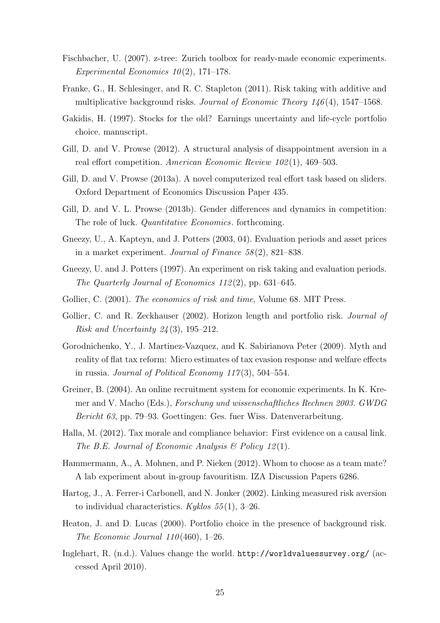- <span id="page-27-12"></span>Fischbacher, U. (2007). z-tree: Zurich toolbox for ready-made economic experiments. Experimental Economics  $10(2)$ , 171–178.
- <span id="page-27-1"></span>Franke, G., H. Schlesinger, and R. C. Stapleton (2011). Risk taking with additive and multiplicative background risks. Journal of Economic Theory  $146(4)$ , 1547–1568.
- <span id="page-27-4"></span>Gakidis, H. (1997). Stocks for the old? Earnings uncertainty and life-cycle portfolio choice. manuscript.
- <span id="page-27-7"></span>Gill, D. and V. Prowse (2012). A structural analysis of disappointment aversion in a real effort competition. American Economic Review 102(1), 469–503.
- <span id="page-27-8"></span>Gill, D. and V. Prowse (2013a). A novel computerized real effort task based on sliders. Oxford Department of Economics Discussion Paper 435.
- <span id="page-27-9"></span>Gill, D. and V. L. Prowse (2013b). Gender differences and dynamics in competition: The role of luck. *Quantitative Economics*. forthcoming.
- <span id="page-27-16"></span>Gneezy, U., A. Kapteyn, and J. Potters (2003, 04). Evaluation periods and asset prices in a market experiment. Journal of Finance  $58(2)$ , 821–838.
- <span id="page-27-6"></span>Gneezy, U. and J. Potters (1997). An experiment on risk taking and evaluation periods. The Quarterly Journal of Economics 112 (2), pp. 631–645.
- <span id="page-27-13"></span>Gollier, C. (2001). The economics of risk and time, Volume 68. MIT Press.
- <span id="page-27-2"></span>Gollier, C. and R. Zeckhauser (2002). Horizon length and portfolio risk. *Journal of* Risk and Uncertainty  $24(3)$ , 195–212.
- <span id="page-27-5"></span>Gorodnichenko, Y., J. Martinez-Vazquez, and K. Sabirianova Peter (2009). Myth and reality of flat tax reform: Micro estimates of tax evasion response and welfare effects in russia. Journal of Political Economy  $117(3)$ , 504–554.
- <span id="page-27-11"></span>Greiner, B. (2004). An online recruitment system for economic experiments. In K. Kremer and V. Macho (Eds.), Forschung und wissenschaftliches Rechnen 2003. GWDG Bericht 63, pp. 79–93. Goettingen: Ges. fuer Wiss. Datenverarbeitung.
- <span id="page-27-15"></span>Halla, M. (2012). Tax morale and compliance behavior: First evidence on a causal link. The B.E. Journal of Economic Analysis  $\mathcal C$  Policy 12(1).
- <span id="page-27-10"></span>Hammermann, A., A. Mohnen, and P. Nieken (2012). Whom to choose as a team mate? A lab experiment about in-group favouritism. IZA Discussion Papers 6286.
- <span id="page-27-3"></span>Hartog, J., A. Ferrer-i Carbonell, and N. Jonker (2002). Linking measured risk aversion to individual characteristics. Kyklos  $55(1)$ , 3–26.
- <span id="page-27-0"></span>Heaton, J. and D. Lucas (2000). Portfolio choice in the presence of background risk. The Economic Journal  $110(460)$ , 1–26.
- <span id="page-27-14"></span>Inglehart, R. (n.d.). Values change the world. <http://worldvaluessurvey.org/> (accessed April 2010).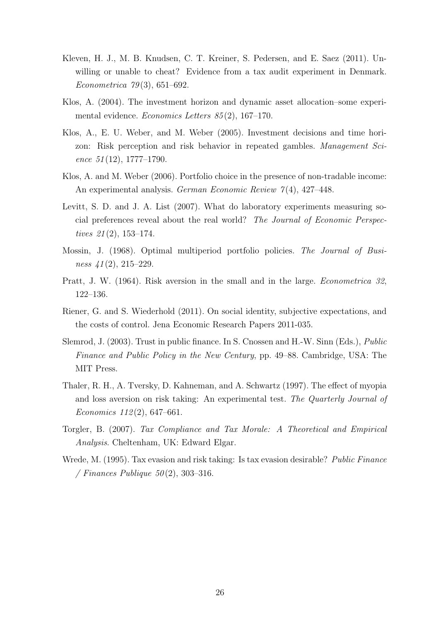- <span id="page-28-2"></span>Kleven, H. J., M. B. Knudsen, C. T. Kreiner, S. Pedersen, and E. Saez (2011). Unwilling or unable to cheat? Evidence from a tax audit experiment in Denmark. Econometrica 79 (3), 651–692.
- <span id="page-28-0"></span>Klos, A. (2004). The investment horizon and dynamic asset allocation–some experimental evidence. Economics Letters 85 (2), 167–170.
- <span id="page-28-5"></span>Klos, A., E. U. Weber, and M. Weber (2005). Investment decisions and time horizon: Risk perception and risk behavior in repeated gambles. Management Science  $51(12)$ , 1777–1790.
- <span id="page-28-3"></span>Klos, A. and M. Weber (2006). Portfolio choice in the presence of non-tradable income: An experimental analysis. German Economic Review  $7(4)$ , 427-448.
- <span id="page-28-10"></span>Levitt, S. D. and J. A. List (2007). What do laboratory experiments measuring social preferences reveal about the real world? The Journal of Economic Perspectives 21 (2), 153–174.
- <span id="page-28-8"></span>Mossin, J. (1968). Optimal multiperiod portfolio policies. The Journal of Business  $41(2)$ , 215–229.
- <span id="page-28-7"></span>Pratt, J. W. (1964). Risk aversion in the small and in the large. Econometrica 32, 122–136.
- <span id="page-28-6"></span>Riener, G. and S. Wiederhold (2011). On social identity, subjective expectations, and the costs of control. Jena Economic Research Papers 2011-035.
- <span id="page-28-9"></span>Slemrod, J. (2003). Trust in public finance. In S. Cnossen and H.-W. Sinn (Eds.), Public Finance and Public Policy in the New Century, pp. 49–88. Cambridge, USA: The MIT Press.
- <span id="page-28-4"></span>Thaler, R. H., A. Tversky, D. Kahneman, and A. Schwartz (1997). The effect of myopia and loss aversion on risk taking: An experimental test. The Quarterly Journal of Economics  $112(2)$ , 647–661.
- <span id="page-28-11"></span>Torgler, B. (2007). Tax Compliance and Tax Morale: A Theoretical and Empirical Analysis. Cheltenham, UK: Edward Elgar.
- <span id="page-28-1"></span>Wrede, M. (1995). Tax evasion and risk taking: Is tax evasion desirable? Public Finance / Finances Publique  $50(2)$ , 303-316.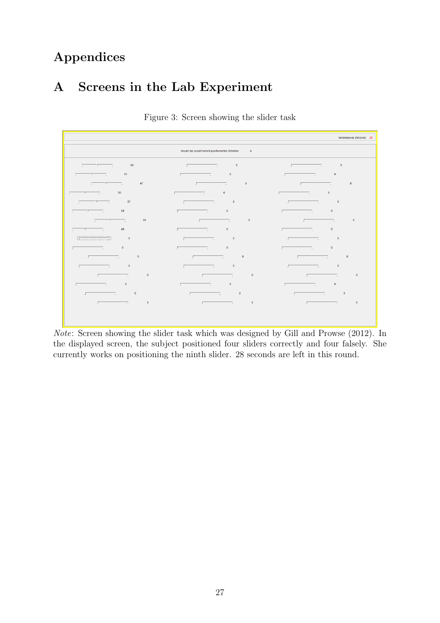# Appendices

# A Screens in the Lab Experiment

<span id="page-29-0"></span>

|                                                                                                                                                                                                                                                                                                                                                              |                                                                                                                                                                                                                                                                                                                                                                                                                                                                                 | Verbleibende Zeit [sek]: 28                                                                                                                                                                                                                                                                                                                                                                                     |  |  |  |  |
|--------------------------------------------------------------------------------------------------------------------------------------------------------------------------------------------------------------------------------------------------------------------------------------------------------------------------------------------------------------|---------------------------------------------------------------------------------------------------------------------------------------------------------------------------------------------------------------------------------------------------------------------------------------------------------------------------------------------------------------------------------------------------------------------------------------------------------------------------------|-----------------------------------------------------------------------------------------------------------------------------------------------------------------------------------------------------------------------------------------------------------------------------------------------------------------------------------------------------------------------------------------------------------------|--|--|--|--|
| Anzahl der zurzeit korrekt positionierten Schieber<br>$\overline{4}$                                                                                                                                                                                                                                                                                         |                                                                                                                                                                                                                                                                                                                                                                                                                                                                                 |                                                                                                                                                                                                                                                                                                                                                                                                                 |  |  |  |  |
| 50 <sub>1</sub><br>$\frac{1}{2}$ and $\frac{1}{2}$ and $\frac{1}{2}$ and $\frac{1}{2}$ and $\frac{1}{2}$ and $\frac{1}{2}$ and $\frac{1}{2}$ and $\frac{1}{2}$ and $\frac{1}{2}$ and $\frac{1}{2}$ and $\frac{1}{2}$ and $\frac{1}{2}$ and $\frac{1}{2}$ and $\frac{1}{2}$ and $\frac{1}{2}$ and $\frac{1}{2}$ a                                             | $\sim$ $\sim$ $\sim$ 0<br>$\sqrt{2}$                                                                                                                                                                                                                                                                                                                                                                                                                                            | $\overline{\mathbf{0}}$<br>$\overline{a}$                                                                                                                                                                                                                                                                                                                                                                       |  |  |  |  |
| $\overline{\phantom{a}}$ 51                                                                                                                                                                                                                                                                                                                                  | $\overline{\phantom{0}}$<br>$\overline{a}$ and $\overline{a}$ and $\overline{a}$ and $\overline{a}$ and $\overline{a}$                                                                                                                                                                                                                                                                                                                                                          | $\mathbf{0}$<br>$\overline{a}$ and $\overline{a}$ and $\overline{a}$ and $\overline{a}$ and $\overline{a}$ and $\overline{a}$ and $\overline{a}$ and $\overline{a}$ and $\overline{a}$ and $\overline{a}$ and $\overline{a}$ and $\overline{a}$ and $\overline{a}$ and $\overline{a}$ and $\overline{a}$ and $\overline{a}$ and $\overline{a}$ and                                                              |  |  |  |  |
| $\overline{\phantom{a}}$ 47                                                                                                                                                                                                                                                                                                                                  | $\bullet$<br>$\overline{1}$ $\overline{1}$ $\overline{1}$ $\overline{1}$ $\overline{1}$ $\overline{1}$ $\overline{1}$ $\overline{1}$ $\overline{1}$ $\overline{1}$ $\overline{1}$ $\overline{1}$ $\overline{1}$ $\overline{1}$ $\overline{1}$ $\overline{1}$ $\overline{1}$ $\overline{1}$ $\overline{1}$ $\overline{1}$ $\overline{1}$ $\overline{1}$ $\overline{1}$ $\overline{1}$ $\overline{$                                                                               | $\overline{\mathbf{0}}$<br>$\overline{a}$ and $\overline{a}$ and $\overline{a}$ and $\overline{a}$ and $\overline{a}$ and $\overline{a}$ and $\overline{a}$ and $\overline{a}$ and $\overline{a}$ and $\overline{a}$ and $\overline{a}$ and $\overline{a}$ and $\overline{a}$ and $\overline{a}$ and $\overline{a}$ and $\overline{a}$ and $\overline{a}$ and                                                   |  |  |  |  |
| 50<br>$\frac{1}{2}$ and $\frac{1}{2}$ and $\frac{1}{2}$ and $\frac{1}{2}$ and $\frac{1}{2}$ and $\frac{1}{2}$ and $\frac{1}{2}$ and $\frac{1}{2}$ and $\frac{1}{2}$ and $\frac{1}{2}$ and $\frac{1}{2}$ and $\frac{1}{2}$ and $\frac{1}{2}$ and $\frac{1}{2}$ and $\frac{1}{2}$ and $\frac{1}{2}$ a                                                          | $\overline{\phantom{a}}$ $\overline{\phantom{a}}$ $\overline{\phantom{a}}$ $\overline{\phantom{a}}$ $\overline{\phantom{a}}$ $\overline{\phantom{a}}$ $\overline{\phantom{a}}$ $\overline{\phantom{a}}$ $\overline{\phantom{a}}$ $\overline{\phantom{a}}$ $\overline{\phantom{a}}$ $\overline{\phantom{a}}$ $\overline{\phantom{a}}$ $\overline{\phantom{a}}$ $\overline{\phantom{a}}$ $\overline{\phantom{a}}$ $\overline{\phantom{a}}$ $\overline{\phantom{a}}$ $\overline{\$ | $\bullet$<br>$\overline{a}$ and $\overline{a}$ and $\overline{a}$ and $\overline{a}$ and $\overline{a}$ and $\overline{a}$ and $\overline{a}$ and $\overline{a}$ and $\overline{a}$ and $\overline{a}$ and $\overline{a}$ and $\overline{a}$ and $\overline{a}$ and $\overline{a}$ and $\overline{a}$ and $\overline{a}$ and $\overline{a}$ and                                                                 |  |  |  |  |
| 57<br>$\frac{1}{2}$ and $\frac{1}{2}$ and $\frac{1}{2}$ and $\frac{1}{2}$ and $\frac{1}{2}$ and $\frac{1}{2}$ and $\frac{1}{2}$ and $\frac{1}{2}$ and $\frac{1}{2}$ and $\frac{1}{2}$ and $\frac{1}{2}$ and $\frac{1}{2}$ and $\frac{1}{2}$ and $\frac{1}{2}$ and $\frac{1}{2}$ and $\frac{1}{2}$ a                                                          | $\sim$ $\sim$ $\sim$ $\sim$ $\sim$ $\sim$ $\sim$ $\sim$<br>$\overline{1}$ and $\overline{1}$ and $\overline{1}$ and $\overline{1}$ and $\overline{1}$ and $\overline{1}$ and $\overline{1}$ and $\overline{1}$ and $\overline{1}$ and $\overline{1}$ and $\overline{1}$ and $\overline{1}$ and $\overline{1}$ and $\overline{1}$ and $\overline{1}$ and $\overline{1}$ and $\overline{1}$ and                                                                                   | the control of the control of<br>$\sim$ $\sim$ $\sim$ 0<br>г                                                                                                                                                                                                                                                                                                                                                    |  |  |  |  |
| 50<br>$\overline{a}$ and $\overline{a}$ and $\overline{a}$ and $\overline{a}$ and $\overline{a}$ and $\overline{a}$ and $\overline{a}$ and $\overline{a}$ and $\overline{a}$ and $\overline{a}$ and $\overline{a}$ and $\overline{a}$ and $\overline{a}$ and $\overline{a}$ and $\overline{a}$ and $\overline{a}$ and $\overline{a}$ and                     | $\mathbf 0$<br>$\overline{1}$ and $\overline{1}$ and $\overline{1}$ and $\overline{1}$ and $\overline{1}$ and $\overline{1}$ and $\overline{1}$ and $\overline{1}$ and $\overline{1}$ and $\overline{1}$ and $\overline{1}$ and $\overline{1}$ and $\overline{1}$ and $\overline{1}$ and $\overline{1}$ and $\overline{1}$ and $\overline{1}$ and                                                                                                                               | $\mathbf{0}$<br>$\overline{a}$ and $\overline{a}$ and $\overline{a}$ and $\overline{a}$ and $\overline{a}$ and $\overline{a}$ and $\overline{a}$ and $\overline{a}$ and $\overline{a}$ and $\overline{a}$ and $\overline{a}$ and $\overline{a}$ and $\overline{a}$ and $\overline{a}$ and $\overline{a}$ and $\overline{a}$ and $\overline{a}$ and                                                              |  |  |  |  |
| $\overline{a}$ and $\overline{a}$ and $\overline{a}$ and $\overline{a}$ and $\overline{a}$ and $\overline{a}$ and $\overline{a}$ and $\overline{a}$<br>50                                                                                                                                                                                                    | $\bullet$<br>$\overline{a}$ and $\overline{a}$ and $\overline{a}$ and $\overline{a}$ and $\overline{a}$ and $\overline{a}$ and $\overline{a}$ and $\overline{a}$ and $\overline{a}$ and $\overline{a}$ and $\overline{a}$ and $\overline{a}$ and $\overline{a}$ and $\overline{a}$ and $\overline{a}$ and $\overline{a}$ and $\overline{a}$ and                                                                                                                                 | $\sim$ $\sim$ 0<br>$\overline{r}$ and $\overline{r}$ and $\overline{r}$ and $\overline{r}$ and $\overline{r}$ and $\overline{r}$ and $\overline{r}$ and $\overline{r}$ and $\overline{r}$ and $\overline{r}$ and $\overline{r}$ and $\overline{r}$ and $\overline{r}$ and $\overline{r}$ and $\overline{r}$ and $\overline{r}$ and $\overline{r}$ and                                                           |  |  |  |  |
| 40<br>$\frac{1}{2}$ and $\frac{1}{2}$ and $\frac{1}{2}$ and $\frac{1}{2}$ and $\frac{1}{2}$ and $\frac{1}{2}$ and $\frac{1}{2}$ and $\frac{1}{2}$ and $\frac{1}{2}$ and $\frac{1}{2}$ and $\frac{1}{2}$ and $\frac{1}{2}$ and $\frac{1}{2}$ and $\frac{1}{2}$ and $\frac{1}{2}$ and $\frac{1}{2}$ a                                                          | $\bullet$<br>$\overline{I}$ and $\overline{I}$ and $\overline{I}$ and $\overline{I}$ and $\overline{I}$                                                                                                                                                                                                                                                                                                                                                                         | $\overline{\phantom{a}}$<br>$\overline{I}$ and $\overline{I}$ and $\overline{I}$ and $\overline{I}$ and $\overline{I}$                                                                                                                                                                                                                                                                                          |  |  |  |  |
| $\frac{1}{2}$<br>$\sim$ 0                                                                                                                                                                                                                                                                                                                                    | $\sqrt{2}$ and $\sqrt{2}$ and $\sqrt{2}$ and $\sqrt{2}$ and $\sqrt{2}$ and $\sqrt{2}$ and $\sqrt{2}$ and $\sqrt{2}$ and $\sqrt{2}$ and $\sqrt{2}$ and $\sqrt{2}$ and $\sqrt{2}$ and $\sqrt{2}$ and $\sqrt{2}$ and $\sqrt{2}$ and $\sqrt{2}$ and $\sqrt{2}$ and $\sqrt{2}$ and $\sqrt{2$                                                                                                                                                                                         | the control of the control of<br>$\sim$ $\sim$ $\sim$ 0                                                                                                                                                                                                                                                                                                                                                         |  |  |  |  |
| $\mathbf 0$<br>$\overline{a}$ and $\overline{a}$ and $\overline{a}$ and $\overline{a}$                                                                                                                                                                                                                                                                       | $\overline{\phantom{0}}$<br>$\overline{a}$ and $\overline{a}$ and $\overline{a}$ and $\overline{a}$                                                                                                                                                                                                                                                                                                                                                                             | $\bullet$<br>$\overline{a}$ and $\overline{a}$ and $\overline{a}$ and $\overline{a}$ and $\overline{a}$                                                                                                                                                                                                                                                                                                         |  |  |  |  |
| $\sim$ $\sim$ $\sim$ 0<br>$\overline{r}$ and $\overline{r}$ and $\overline{r}$ and $\overline{r}$ and $\overline{r}$ and $\overline{r}$ and $\overline{r}$ and $\overline{r}$ and $\overline{r}$ and $\overline{r}$ and $\overline{r}$ and $\overline{r}$ and $\overline{r}$ and $\overline{r}$ and $\overline{r}$ and $\overline{r}$ and $\overline{r}$ and | $\sim$ $\sim$ 0<br>$\sqrt{2}$                                                                                                                                                                                                                                                                                                                                                                                                                                                   | $\overline{\mathbf{0}}$<br>$\overline{1}$ $\overline{1}$ $\overline{1}$ $\overline{1}$ $\overline{1}$ $\overline{1}$ $\overline{1}$ $\overline{1}$ $\overline{1}$ $\overline{1}$ $\overline{1}$ $\overline{1}$ $\overline{1}$ $\overline{1}$ $\overline{1}$ $\overline{1}$ $\overline{1}$ $\overline{1}$ $\overline{1}$ $\overline{1}$ $\overline{1}$ $\overline{1}$ $\overline{1}$ $\overline{1}$ $\overline{$ |  |  |  |  |
| $\overline{\phantom{0}}$<br>$\overline{a}$ and $\overline{a}$ and $\overline{a}$ and $\overline{a}$ and $\overline{a}$                                                                                                                                                                                                                                       | $\sim$ $\sim$ $\sim$ 0<br>$\overline{a}$ and $\overline{a}$ and $\overline{a}$ and $\overline{a}$                                                                                                                                                                                                                                                                                                                                                                               | $\overline{\phantom{0}}$<br>$\overline{a}$                                                                                                                                                                                                                                                                                                                                                                      |  |  |  |  |
| $\bullet$<br>the contract of the contract of the contract of                                                                                                                                                                                                                                                                                                 | $\bullet$<br>$\overline{1}$ and $\overline{1}$ and $\overline{1}$ and $\overline{1}$ and $\overline{1}$ and $\overline{1}$ and $\overline{1}$ and $\overline{1}$ and $\overline{1}$ and $\overline{1}$ and $\overline{1}$ and $\overline{1}$ and $\overline{1}$ and $\overline{1}$ and $\overline{1}$ and $\overline{1}$ and $\overline{1}$ and                                                                                                                                 | $\bullet$<br>$\overline{\phantom{a}}$<br>$\overline{a}$ and $\overline{a}$ and $\overline{a}$                                                                                                                                                                                                                                                                                                                   |  |  |  |  |
| $\mathbf{0}$<br>$\overline{r}$ and $\overline{r}$ and $\overline{r}$ and $\overline{r}$ and $\overline{r}$ and $\overline{r}$ and $\overline{r}$ and $\overline{r}$ and $\overline{r}$ and $\overline{r}$ and $\overline{r}$ and $\overline{r}$ and $\overline{r}$ and $\overline{r}$ and $\overline{r}$ and $\overline{r}$ and $\overline{r}$ and           | $\mathbf{0}$<br>$\overline{a}$ and $\overline{a}$ and $\overline{a}$ and $\overline{a}$ and $\overline{a}$ and $\overline{a}$ and $\overline{a}$ and $\overline{a}$ and $\overline{a}$ and $\overline{a}$ and $\overline{a}$ and $\overline{a}$ and $\overline{a}$ and $\overline{a}$ and $\overline{a}$ and $\overline{a}$ and $\overline{a}$ and                                                                                                                              | $\mathbf{0}$<br>$\overline{\phantom{a}}$                                                                                                                                                                                                                                                                                                                                                                        |  |  |  |  |
| $\overline{a}$                                                                                                                                                                                                                                                                                                                                               | $\sim$ $\sim$ 0<br>$\overline{a}$                                                                                                                                                                                                                                                                                                                                                                                                                                               | $\sqrt{2}$ and $\sqrt{2}$ and $\sqrt{2}$ and $\sqrt{2}$ and $\sqrt{2}$ and $\sqrt{2}$ and $\sqrt{2}$ and $\sqrt{2}$ and $\sqrt{2}$ and $\sqrt{2}$ and $\sqrt{2}$ and $\sqrt{2}$ and $\sqrt{2}$ and $\sqrt{2}$ and $\sqrt{2}$ and $\sqrt{2}$ and $\sqrt{2}$ and $\sqrt{2}$ and $\sqrt{2$                                                                                                                         |  |  |  |  |
| $\pmb{0}$<br>$\overline{1}$ and $\overline{1}$ and $\overline{1}$ and $\overline{1}$ and $\overline{1}$ and $\overline{1}$ and $\overline{1}$ and $\overline{1}$ and $\overline{1}$ and $\overline{1}$ and $\overline{1}$ and $\overline{1}$ and $\overline{1}$ and $\overline{1}$ and $\overline{1}$ and $\overline{1}$ and $\overline{1}$ and              | $\bullet$<br>$\overline{1}$ $\overline{1}$ $\overline{1}$ $\overline{1}$ $\overline{1}$ $\overline{1}$ $\overline{1}$ $\overline{1}$ $\overline{1}$ $\overline{1}$ $\overline{1}$ $\overline{1}$ $\overline{1}$ $\overline{1}$ $\overline{1}$ $\overline{1}$ $\overline{1}$ $\overline{1}$ $\overline{1}$ $\overline{1}$ $\overline{1}$ $\overline{1}$ $\overline{1}$ $\overline{1}$ $\overline{$                                                                               | $\bullet$<br>$\overline{a}$ $\overline{a}$ $\overline{a}$ $\overline{a}$ $\overline{a}$ $\overline{a}$ $\overline{a}$ $\overline{a}$ $\overline{a}$ $\overline{a}$ $\overline{a}$ $\overline{a}$ $\overline{a}$ $\overline{a}$ $\overline{a}$ $\overline{a}$ $\overline{a}$ $\overline{a}$ $\overline{a}$ $\overline{a}$ $\overline{a}$ $\overline{a}$ $\overline{a}$ $\overline{a}$ $\overline{$               |  |  |  |  |
|                                                                                                                                                                                                                                                                                                                                                              |                                                                                                                                                                                                                                                                                                                                                                                                                                                                                 |                                                                                                                                                                                                                                                                                                                                                                                                                 |  |  |  |  |
|                                                                                                                                                                                                                                                                                                                                                              |                                                                                                                                                                                                                                                                                                                                                                                                                                                                                 |                                                                                                                                                                                                                                                                                                                                                                                                                 |  |  |  |  |

Figure 3: Screen showing the slider task

Note: Screen showing the slider task which was designed by [Gill and Prowse \(2012\).](#page-27-7) In the displayed screen, the subject positioned four sliders correctly and four falsely. She currently works on positioning the ninth slider. 28 seconds are left in this round.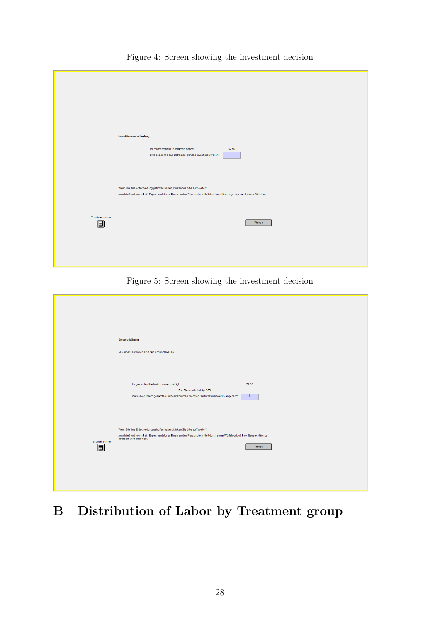|                     | Investitionsentscheidung<br>Ihr momentanes Einkommen beträgt:<br>42.50<br>Bitte geben Sie den Betrag an, den Sie investieren wollen:                                                                      |
|---------------------|-----------------------------------------------------------------------------------------------------------------------------------------------------------------------------------------------------------|
|                     | Wenn Sie Ihre Entscheidung getroffen haben, klicken Sie bitte auf "Weiter".<br>Anschließend kommt ein Experimentator zu Ihnen an den Platz und ermittelt das Investitionsergebnis durch einen Würfelwurf. |
| Taschenrechner<br>圃 | Weiter                                                                                                                                                                                                    |
|                     |                                                                                                                                                                                                           |

Figure 4: Screen showing the investment decision

Figure 5: Screen showing the investment decision

|                     | Steuererklärung                                                                                                                                                                                                                                  |
|---------------------|--------------------------------------------------------------------------------------------------------------------------------------------------------------------------------------------------------------------------------------------------|
|                     | Alle Arbeitsaufgaben sind nun abgeschlossen.                                                                                                                                                                                                     |
|                     |                                                                                                                                                                                                                                                  |
|                     | Ihr gesamtes Bruttoeinkommen beträgt:<br>73.00<br>Der Steuersatz beträgt 30%.<br>Wieviel von Ihrem gesamten Bruttoeinkommen möchten Sie für Steuerzwecke angeben?                                                                                |
|                     |                                                                                                                                                                                                                                                  |
| Taschenrechner<br>圖 | Wenn Sie Ihre Entscheidung getroffen haben, klicken Sie bitte auf "Weiter".<br>Anschließend kommt ein Experimentator zu ihnen an den Platz und ermittelt durch einen Würfelwurf, ob ihre Steuererklärung<br>überprüft wird oder nicht.<br>Weiter |
|                     |                                                                                                                                                                                                                                                  |
|                     |                                                                                                                                                                                                                                                  |

# B Distribution of Labor by Treatment group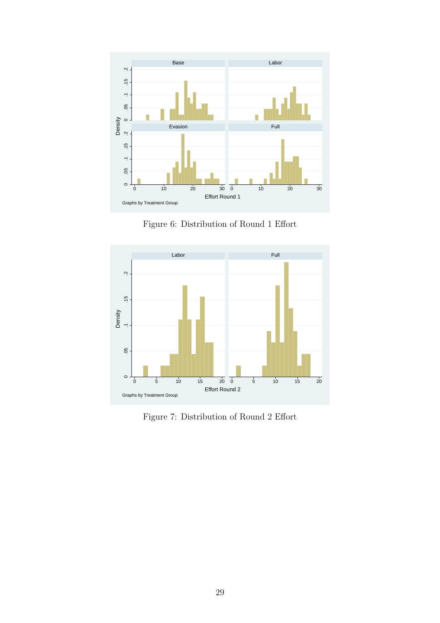<span id="page-31-0"></span>

Figure 6: Distribution of Round 1 Effort

<span id="page-31-1"></span>

Figure 7: Distribution of Round 2 Effort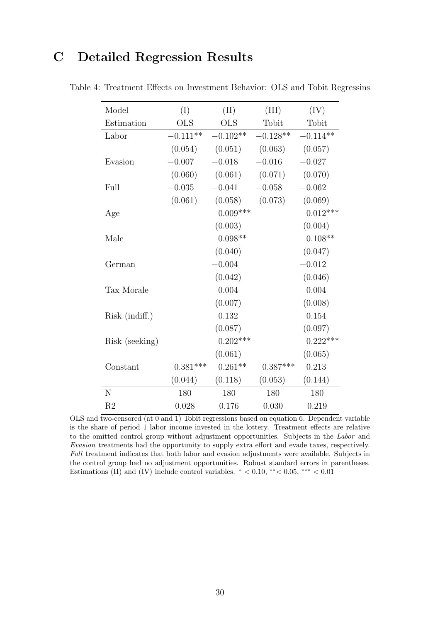# C Detailed Regression Results

| Model          | (I)        | (II)       | (III)      | (IV)       |
|----------------|------------|------------|------------|------------|
| Estimation     | <b>OLS</b> | <b>OLS</b> | Tobit      | Tobit      |
| Labor          | $-0.111**$ | $-0.102**$ | $-0.128**$ | $-0.114**$ |
|                | (0.054)    | (0.051)    | (0.063)    | (0.057)    |
| Evasion        | $-0.007$   | $-0.018$   | $-0.016$   | $-0.027$   |
|                | (0.060)    | (0.061)    | (0.071)    | (0.070)    |
| Full           | $-0.035$   | $-0.041$   | $-0.058$   | $-0.062$   |
|                | (0.061)    | (0.058)    | (0.073)    | (0.069)    |
| Age            |            | $0.009***$ |            | $0.012***$ |
|                |            | (0.003)    |            | (0.004)    |
| Male           |            | $0.098**$  |            | $0.108**$  |
|                |            | (0.040)    |            | (0.047)    |
| German         |            | $-0.004$   |            | $-0.012$   |
|                |            | (0.042)    |            | (0.046)    |
| Tax Morale     |            | 0.004      |            | 0.004      |
|                |            | (0.007)    |            | (0.008)    |
| Risk (indiff.) |            | 0.132      |            | 0.154      |
|                |            | (0.087)    |            | (0.097)    |
| Risk (seeking) |            | $0.202***$ |            | $0.222***$ |
|                |            | (0.061)    |            | (0.065)    |
| Constant       | $0.381***$ | $0.261**$  | $0.387***$ | 0.213      |
|                | (0.044)    | (0.118)    | (0.053)    | (0.144)    |
| $\mathbf N$    | 180        | 180        | 180        | 180        |
| R <sub>2</sub> | 0.028      | 0.176      | 0.030      | 0.219      |

<span id="page-32-0"></span>Table 4: Treatment Effects on Investment Behavior: OLS and Tobit Regressins

OLS and two-censored (at 0 and 1) Tobit regressions based on equation [6.](#page-19-3) Dependent variable is the share of period 1 labor income invested in the lottery. Treatment effects are relative to the omitted control group without adjustment opportunities. Subjects in the Labor and Evasion treatments had the opportunity to supply extra effort and evade taxes, respectively. Full treatment indicates that both labor and evasion adjustments were available. Subjects in the control group had no adjustment opportunities. Robust standard errors in parentheses. Estimations (II) and (IV) include control variables.  $* < 0.10, ** < 0.05, ** < 0.01$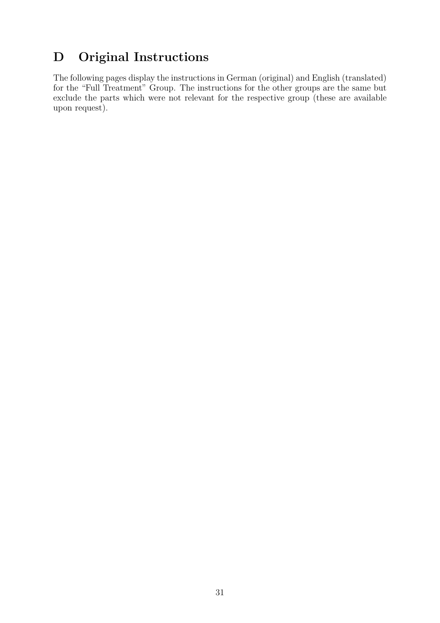# <span id="page-33-0"></span>D Original Instructions

The following pages display the instructions in German (original) and English (translated) for the "Full Treatment" Group. The instructions for the other groups are the same but exclude the parts which were not relevant for the respective group (these are available upon request).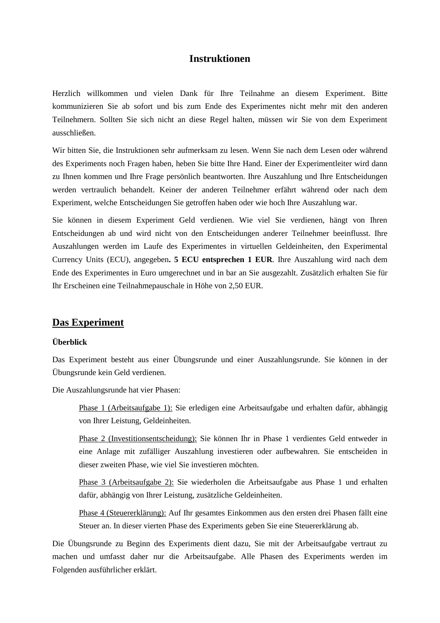## **Instruktionen**

Herzlich willkommen und vielen Dank für Ihre Teilnahme an diesem Experiment. Bitte kommunizieren Sie ab sofort und bis zum Ende des Experimentes nicht mehr mit den anderen Teilnehmern. Sollten Sie sich nicht an diese Regel halten, müssen wir Sie von dem Experiment ausschließen.

Wir bitten Sie, die Instruktionen sehr aufmerksam zu lesen. Wenn Sie nach dem Lesen oder während des Experiments noch Fragen haben, heben Sie bitte Ihre Hand. Einer der Experimentleiter wird dann zu Ihnen kommen und Ihre Frage persönlich beantworten. Ihre Auszahlung und Ihre Entscheidungen werden vertraulich behandelt. Keiner der anderen Teilnehmer erfährt während oder nach dem Experiment, welche Entscheidungen Sie getroffen haben oder wie hoch Ihre Auszahlung war.

Sie können in diesem Experiment Geld verdienen. Wie viel Sie verdienen, hängt von Ihren Entscheidungen ab und wird nicht von den Entscheidungen anderer Teilnehmer beeinflusst. Ihre Auszahlungen werden im Laufe des Experimentes in virtuellen Geldeinheiten, den Experimental Currency Units (ECU), angegeben**. 5 ECU entsprechen 1 EUR**. Ihre Auszahlung wird nach dem Ende des Experimentes in Euro umgerechnet und in bar an Sie ausgezahlt. Zusätzlich erhalten Sie für Ihr Erscheinen eine Teilnahmepauschale in Höhe von 2,50 EUR.

### **Das Experiment**

### **Überblick**

Das Experiment besteht aus einer Übungsrunde und einer Auszahlungsrunde. Sie können in der Übungsrunde kein Geld verdienen.

Die Auszahlungsrunde hat vier Phasen:

Phase 1 (Arbeitsaufgabe 1): Sie erledigen eine Arbeitsaufgabe und erhalten dafür, abhängig von Ihrer Leistung, Geldeinheiten.

Phase 2 (Investitionsentscheidung): Sie können Ihr in Phase 1 verdientes Geld entweder in eine Anlage mit zufälliger Auszahlung investieren oder aufbewahren. Sie entscheiden in dieser zweiten Phase, wie viel Sie investieren möchten.

Phase 3 (Arbeitsaufgabe 2): Sie wiederholen die Arbeitsaufgabe aus Phase 1 und erhalten dafür, abhängig von Ihrer Leistung, zusätzliche Geldeinheiten.

Phase 4 (Steuererklärung): Auf Ihr gesamtes Einkommen aus den ersten drei Phasen fällt eine Steuer an. In dieser vierten Phase des Experiments geben Sie eine Steuererklärung ab.

Die Übungsrunde zu Beginn des Experiments dient dazu, Sie mit der Arbeitsaufgabe vertraut zu machen und umfasst daher nur die Arbeitsaufgabe. Alle Phasen des Experiments werden im Folgenden ausführlicher erklärt.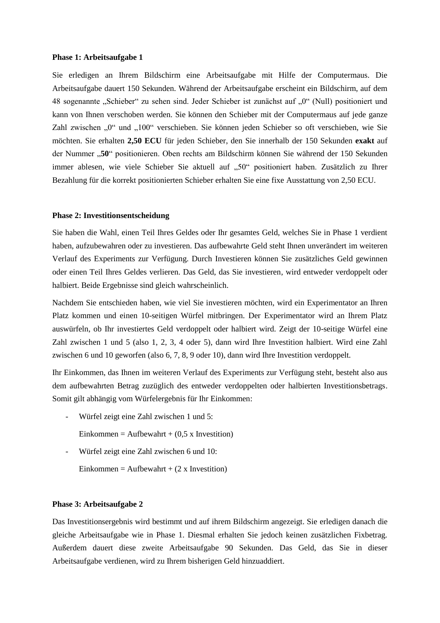#### **Phase 1: Arbeitsaufgabe 1**

Sie erledigen an Ihrem Bildschirm eine Arbeitsaufgabe mit Hilfe der Computermaus. Die Arbeitsaufgabe dauert 150 Sekunden. Während der Arbeitsaufgabe erscheint ein Bildschirm, auf dem 48 sogenannte "Schieber" zu sehen sind. Jeder Schieber ist zunächst auf "0" (Null) positioniert und kann von Ihnen verschoben werden. Sie können den Schieber mit der Computermaus auf jede ganze Zahl zwischen "0" und "100" verschieben. Sie können jeden Schieber so oft verschieben, wie Sie möchten. Sie erhalten **2,50 ECU** für jeden Schieber, den Sie innerhalb der 150 Sekunden **exakt** auf der Nummer "50" positionieren. Oben rechts am Bildschirm können Sie während der 150 Sekunden immer ablesen, wie viele Schieber Sie aktuell auf "50" positioniert haben. Zusätzlich zu Ihrer Bezahlung für die korrekt positionierten Schieber erhalten Sie eine fixe Ausstattung von 2,50 ECU.

#### **Phase 2: Investitionsentscheidung**

Sie haben die Wahl, einen Teil Ihres Geldes oder Ihr gesamtes Geld, welches Sie in Phase 1 verdient haben, aufzubewahren oder zu investieren. Das aufbewahrte Geld steht Ihnen unverändert im weiteren Verlauf des Experiments zur Verfügung. Durch Investieren können Sie zusätzliches Geld gewinnen oder einen Teil Ihres Geldes verlieren. Das Geld, das Sie investieren, wird entweder verdoppelt oder halbiert. Beide Ergebnisse sind gleich wahrscheinlich.

Nachdem Sie entschieden haben, wie viel Sie investieren möchten, wird ein Experimentator an Ihren Platz kommen und einen 10-seitigen Würfel mitbringen. Der Experimentator wird an Ihrem Platz auswürfeln, ob Ihr investiertes Geld verdoppelt oder halbiert wird. Zeigt der 10-seitige Würfel eine Zahl zwischen 1 und 5 (also 1, 2, 3, 4 oder 5), dann wird Ihre Investition halbiert. Wird eine Zahl zwischen 6 und 10 geworfen (also 6, 7, 8, 9 oder 10), dann wird Ihre Investition verdoppelt.

Ihr Einkommen, das Ihnen im weiteren Verlauf des Experiments zur Verfügung steht, besteht also aus dem aufbewahrten Betrag zuzüglich des entweder verdoppelten oder halbierten Investitionsbetrags. Somit gilt abhängig vom Würfelergebnis für Ihr Einkommen:

- Würfel zeigt eine Zahl zwischen 1 und 5:
	- Einkommen = Aufbewahrt +  $(0.5 \times$  Investition)
- Würfel zeigt eine Zahl zwischen 6 und 10:
	- Einkommen = Aufbewahrt +  $(2 \times$  Investition)

#### **Phase 3: Arbeitsaufgabe 2**

Das Investitionsergebnis wird bestimmt und auf ihrem Bildschirm angezeigt. Sie erledigen danach die gleiche Arbeitsaufgabe wie in Phase 1. Diesmal erhalten Sie jedoch keinen zusätzlichen Fixbetrag. Außerdem dauert diese zweite Arbeitsaufgabe 90 Sekunden. Das Geld, das Sie in dieser Arbeitsaufgabe verdienen, wird zu Ihrem bisherigen Geld hinzuaddiert.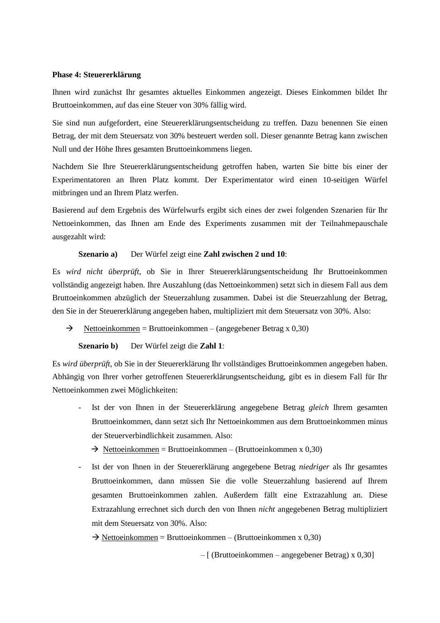### **Phase 4: Steuererklärung**

Ihnen wird zunächst Ihr gesamtes aktuelles Einkommen angezeigt. Dieses Einkommen bildet Ihr Bruttoeinkommen, auf das eine Steuer von 30% fällig wird.

Sie sind nun aufgefordert, eine Steuererklärungsentscheidung zu treffen. Dazu benennen Sie einen Betrag, der mit dem Steuersatz von 30% besteuert werden soll. Dieser genannte Betrag kann zwischen Null und der Höhe Ihres gesamten Bruttoeinkommens liegen.

Nachdem Sie Ihre Steuererklärungsentscheidung getroffen haben, warten Sie bitte bis einer der Experimentatoren an Ihren Platz kommt. Der Experimentator wird einen 10-seitigen Würfel mitbringen und an Ihrem Platz werfen.

Basierend auf dem Ergebnis des Würfelwurfs ergibt sich eines der zwei folgenden Szenarien für Ihr Nettoeinkommen, das Ihnen am Ende des Experiments zusammen mit der Teilnahmepauschale ausgezahlt wird:

### **Szenario a)** Der Würfel zeigt eine **Zahl zwischen 2 und 10**:

Es *wird nicht überprüft*, ob Sie in Ihrer Steuererklärungsentscheidung Ihr Bruttoeinkommen vollständig angezeigt haben. Ihre Auszahlung (das Nettoeinkommen) setzt sich in diesem Fall aus dem Bruttoeinkommen abzüglich der Steuerzahlung zusammen. Dabei ist die Steuerzahlung der Betrag, den Sie in der Steuererklärung angegeben haben, multipliziert mit dem Steuersatz von 30%. Also:

 $\rightarrow$  Nettoeinkommen = Bruttoeinkommen – (angegebener Betrag x 0,30)

### **Szenario b)** Der Würfel zeigt die **Zahl 1**:

Es *wird überprüft*, ob Sie in der Steuererklärung Ihr vollständiges Bruttoeinkommen angegeben haben. Abhängig von Ihrer vorher getroffenen Steuererklärungsentscheidung, gibt es in diesem Fall für Ihr Nettoeinkommen zwei Möglichkeiten:

- Ist der von Ihnen in der Steuererklärung angegebene Betrag *gleich* Ihrem gesamten Bruttoeinkommen, dann setzt sich Ihr Nettoeinkommen aus dem Bruttoeinkommen minus der Steuerverbindlichkeit zusammen. Also:
	- $\rightarrow$  Nettoeinkommen = Bruttoeinkommen (Bruttoeinkommen x 0,30)
- Ist der von Ihnen in der Steuererklärung angegebene Betrag *niedriger* als Ihr gesamtes Bruttoeinkommen, dann müssen Sie die volle Steuerzahlung basierend auf Ihrem gesamten Bruttoeinkommen zahlen. Außerdem fällt eine Extrazahlung an. Diese Extrazahlung errechnet sich durch den von Ihnen *nicht* angegebenen Betrag multipliziert mit dem Steuersatz von 30%. Also:

 $\rightarrow$  Nettoeinkommen = Bruttoeinkommen – (Bruttoeinkommen x 0,30)

– [ (Bruttoeinkommen – angegebener Betrag) x 0,30]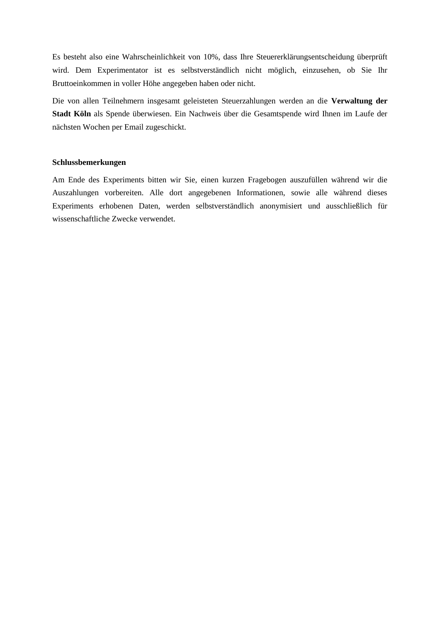Es besteht also eine Wahrscheinlichkeit von 10%, dass Ihre Steuererklärungsentscheidung überprüft wird. Dem Experimentator ist es selbstverständlich nicht möglich, einzusehen, ob Sie Ihr Bruttoeinkommen in voller Höhe angegeben haben oder nicht.

Die von allen Teilnehmern insgesamt geleisteten Steuerzahlungen werden an die **Verwaltung der Stadt Köln** als Spende überwiesen. Ein Nachweis über die Gesamtspende wird Ihnen im Laufe der nächsten Wochen per Email zugeschickt.

#### **Schlussbemerkungen**

Am Ende des Experiments bitten wir Sie, einen kurzen Fragebogen auszufüllen während wir die Auszahlungen vorbereiten. Alle dort angegebenen Informationen, sowie alle während dieses Experiments erhobenen Daten, werden selbstverständlich anonymisiert und ausschließlich für wissenschaftliche Zwecke verwendet.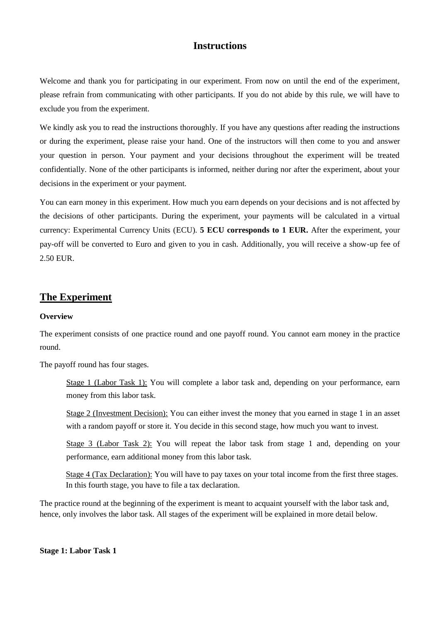## **Instructions**

Welcome and thank you for participating in our experiment. From now on until the end of the experiment, please refrain from communicating with other participants. If you do not abide by this rule, we will have to exclude you from the experiment.

We kindly ask you to read the instructions thoroughly. If you have any questions after reading the instructions or during the experiment, please raise your hand. One of the instructors will then come to you and answer your question in person. Your payment and your decisions throughout the experiment will be treated confidentially. None of the other participants is informed, neither during nor after the experiment, about your decisions in the experiment or your payment.

You can earn money in this experiment. How much you earn depends on your decisions and is not affected by the decisions of other participants. During the experiment, your payments will be calculated in a virtual currency: Experimental Currency Units (ECU). **5 ECU corresponds to 1 EUR.** After the experiment, your pay-off will be converted to Euro and given to you in cash. Additionally, you will receive a show-up fee of 2.50 EUR.

## **The Experiment**

### **Overview**

The experiment consists of one practice round and one payoff round. You cannot earn money in the practice round.

The payoff round has four stages.

Stage 1 (Labor Task 1): You will complete a labor task and, depending on your performance, earn money from this labor task.

Stage 2 (Investment Decision): You can either invest the money that you earned in stage 1 in an asset with a random payoff or store it. You decide in this second stage, how much you want to invest.

Stage 3 (Labor Task 2): You will repeat the labor task from stage 1 and, depending on your performance, earn additional money from this labor task.

Stage 4 (Tax Declaration): You will have to pay taxes on your total income from the first three stages. In this fourth stage, you have to file a tax declaration.

The practice round at the beginning of the experiment is meant to acquaint yourself with the labor task and, hence, only involves the labor task. All stages of the experiment will be explained in more detail below.

**Stage 1: Labor Task 1**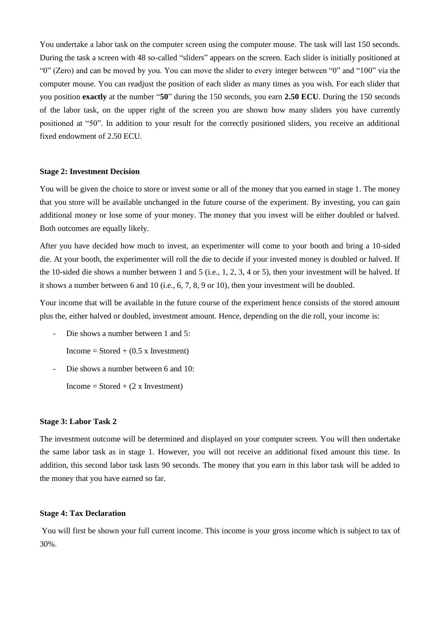You undertake a labor task on the computer screen using the computer mouse. The task will last 150 seconds. During the task a screen with 48 so-called "sliders" appears on the screen. Each slider is initially positioned at "0" (Zero) and can be moved by you. You can move the slider to every integer between "0" and "100" via the computer mouse. You can readjust the position of each slider as many times as you wish. For each slider that you position **exactly** at the number "**50**" during the 150 seconds, you earn **2.50 ECU**. During the 150 seconds of the labor task, on the upper right of the screen you are shown how many sliders you have currently positioned at "50". In addition to your result for the correctly positioned sliders, you receive an additional fixed endowment of 2.50 ECU.

### **Stage 2: Investment Decision**

You will be given the choice to store or invest some or all of the money that you earned in stage 1. The money that you store will be available unchanged in the future course of the experiment. By investing, you can gain additional money or lose some of your money. The money that you invest will be either doubled or halved. Both outcomes are equally likely.

After you have decided how much to invest, an experimenter will come to your booth and bring a 10-sided die. At your booth, the experimenter will roll the die to decide if your invested money is doubled or halved. If the 10-sided die shows a number between 1 and 5 (i.e., 1, 2, 3, 4 or 5), then your investment will be halved. If it shows a number between 6 and 10 (i.e., 6, 7, 8, 9 or 10), then your investment will be doubled.

Your income that will be available in the future course of the experiment hence consists of the stored amount plus the, either halved or doubled, investment amount. Hence, depending on the die roll, your income is:

- Die shows a number between 1 and 5:

 $Income = Stored + (0.5 x Investment)$ 

- Die shows a number between 6 and 10:

 $Income = Stored + (2 x Investment)$ 

#### **Stage 3: Labor Task 2**

The investment outcome will be determined and displayed on your computer screen. You will then undertake the same labor task as in stage 1. However, you will not receive an additional fixed amount this time. In addition, this second labor task lasts 90 seconds. The money that you earn in this labor task will be added to the money that you have earned so far.

### **Stage 4: Tax Declaration**

You will first be shown your full current income. This income is your gross income which is subject to tax of 30%.